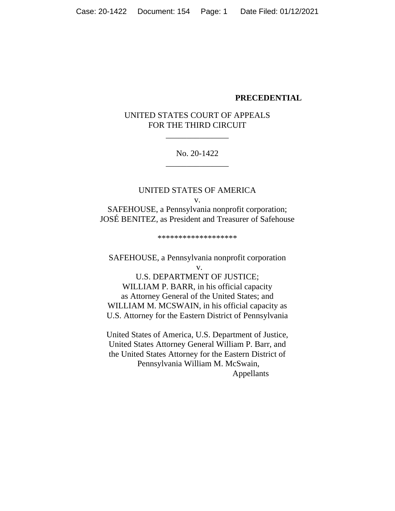### **PRECEDENTIAL**

# UNITED STATES COURT OF APPEALS FOR THE THIRD CIRCUIT

\_\_\_\_\_\_\_\_\_\_\_\_\_\_\_

## No. 20-1422 \_\_\_\_\_\_\_\_\_\_\_\_\_\_\_

UNITED STATES OF AMERICA v. SAFEHOUSE, a Pennsylvania nonprofit corporation; JOSÉ BENITEZ, as President and Treasurer of Safehouse

\*\*\*\*\*\*\*\*\*\*\*\*\*\*\*\*\*\*\*

SAFEHOUSE, a Pennsylvania nonprofit corporation v.

U.S. DEPARTMENT OF JUSTICE; WILLIAM P. BARR, in his official capacity as Attorney General of the United States; and WILLIAM M. MCSWAIN, in his official capacity as U.S. Attorney for the Eastern District of Pennsylvania

United States of America, U.S. Department of Justice, United States Attorney General William P. Barr, and the United States Attorney for the Eastern District of Pennsylvania William M. McSwain, Appellants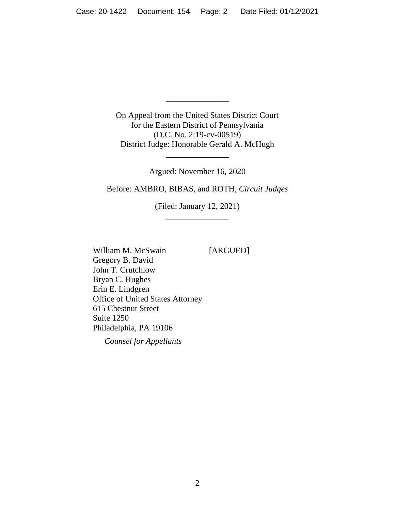On Appeal from the United States District Court for the Eastern District of Pennsylvania (D.C. No. 2:19-cv-00519) District Judge: Honorable Gerald A. McHugh

\_\_\_\_\_\_\_\_\_\_\_\_\_\_\_

Argued: November 16, 2020

\_\_\_\_\_\_\_\_\_\_\_\_\_\_\_

Before: AMBRO, BIBAS, and ROTH, *Circuit Judges*

(Filed: January 12, 2021) \_\_\_\_\_\_\_\_\_\_\_\_\_\_\_

William M. McSwain [ARGUED] Gregory B. David John T. Crutchlow Bryan C. Hughes Erin E. Lindgren Office of United States Attorney 615 Chestnut Street Suite 1250 Philadelphia, PA 19106

*Counsel for Appellants*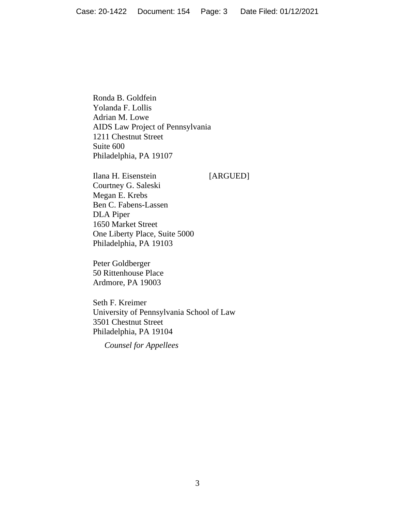Ronda B. Goldfein Yolanda F. Lollis Adrian M. Lowe AIDS Law Project of Pennsylvania 1211 Chestnut Street Suite 600 Philadelphia, PA 19107

Ilana H. Eisenstein [ARGUED] Courtney G. Saleski Megan E. Krebs Ben C. Fabens-Lassen DLA Piper 1650 Market Street One Liberty Place, Suite 5000 Philadelphia, PA 19103

Peter Goldberger 50 Rittenhouse Place Ardmore, PA 19003

Seth F. Kreimer University of Pennsylvania School of Law 3501 Chestnut Street Philadelphia, PA 19104

*Counsel for Appellees*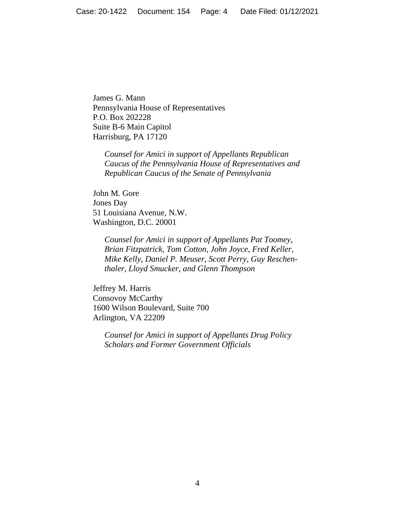James G. Mann Pennsylvania House of Representatives P.O. Box 202228 Suite B-6 Main Capitol Harrisburg, PA 17120

*Counsel for Amici in support of Appellants Republican Caucus of the Pennsylvania House of Representatives and Republican Caucus of the Senate of Pennsylvania*

John M. Gore Jones Day 51 Louisiana Avenue, N.W. Washington, D.C. 20001

> *Counsel for Amici in support of Appellants Pat Toomey, Brian Fitzpatrick, Tom Cotton, John Joyce, Fred Keller, Mike Kelly, Daniel P. Meuser, Scott Perry, Guy Reschenthaler, Lloyd Smucker, and Glenn Thompson*

Jeffrey M. Harris Consovoy McCarthy 1600 Wilson Boulevard, Suite 700 Arlington, VA 22209

*Counsel for Amici in support of Appellants Drug Policy Scholars and Former Government Officials*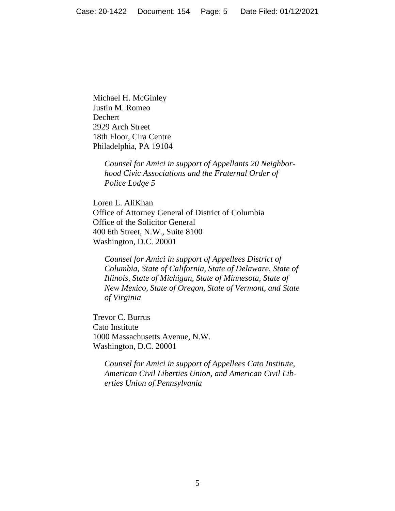Michael H. McGinley Justin M. Romeo Dechert 2929 Arch Street 18th Floor, Cira Centre Philadelphia, PA 19104

> *Counsel for Amici in support of Appellants 20 Neighborhood Civic Associations and the Fraternal Order of Police Lodge 5*

Loren L. AliKhan Office of Attorney General of District of Columbia Office of the Solicitor General 400 6th Street, N.W., Suite 8100 Washington, D.C. 20001

*Counsel for Amici in support of Appellees District of Columbia, State of California, State of Delaware, State of Illinois, State of Michigan, State of Minnesota, State of New Mexico, State of Oregon, State of Vermont, and State of Virginia*

Trevor C. Burrus Cato Institute 1000 Massachusetts Avenue, N.W. Washington, D.C. 20001

> *Counsel for Amici in support of Appellees Cato Institute, American Civil Liberties Union, and American Civil Liberties Union of Pennsylvania*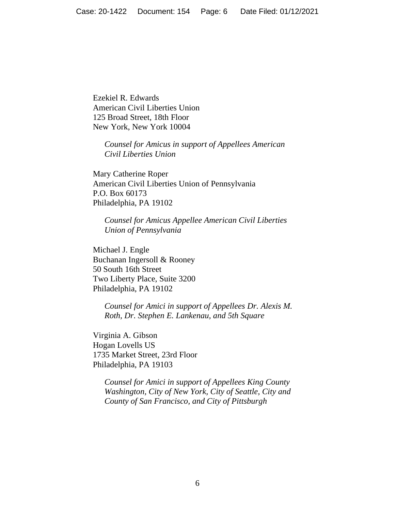Ezekiel R. Edwards American Civil Liberties Union 125 Broad Street, 18th Floor New York, New York 10004

> *Counsel for Amicus in support of Appellees American Civil Liberties Union*

Mary Catherine Roper American Civil Liberties Union of Pennsylvania P.O. Box 60173 Philadelphia, PA 19102

*Counsel for Amicus Appellee American Civil Liberties Union of Pennsylvania*

Michael J. Engle Buchanan Ingersoll & Rooney 50 South 16th Street Two Liberty Place, Suite 3200 Philadelphia, PA 19102

> *Counsel for Amici in support of Appellees Dr. Alexis M. Roth, Dr. Stephen E. Lankenau, and 5th Square*

Virginia A. Gibson Hogan Lovells US 1735 Market Street, 23rd Floor Philadelphia, PA 19103

> *Counsel for Amici in support of Appellees King County Washington, City of New York, City of Seattle, City and County of San Francisco, and City of Pittsburgh*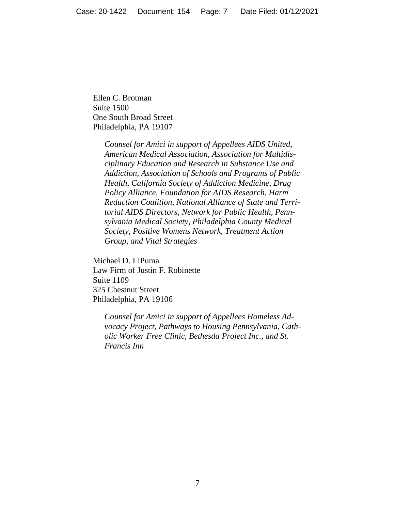Ellen C. Brotman Suite 1500 One South Broad Street Philadelphia, PA 19107

> *Counsel for Amici in support of Appellees AIDS United, American Medical Association, Association for Multidisciplinary Education and Research in Substance Use and Addiction, Association of Schools and Programs of Public Health, California Society of Addiction Medicine, Drug Policy Alliance, Foundation for AIDS Research, Harm Reduction Coalition, National Alliance of State and Territorial AIDS Directors, Network for Public Health, Pennsylvania Medical Society, Philadelphia County Medical Society, Positive Womens Network, Treatment Action Group, and Vital Strategies*

Michael D. LiPuma Law Firm of Justin F. Robinette Suite 1109 325 Chestnut Street Philadelphia, PA 19106

> *Counsel for Amici in support of Appellees Homeless Advocacy Project, Pathways to Housing Pennsylvania, Catholic Worker Free Clinic, Bethesda Project Inc., and St. Francis Inn*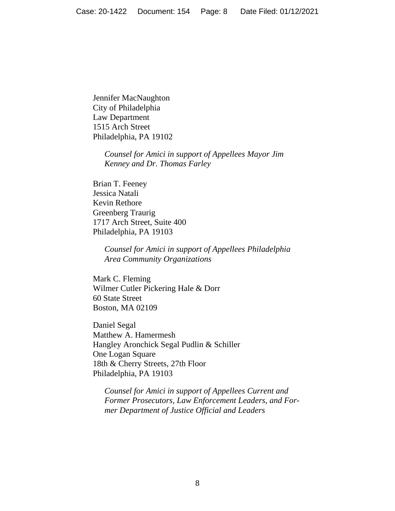Jennifer MacNaughton City of Philadelphia Law Department 1515 Arch Street Philadelphia, PA 19102

> *Counsel for Amici in support of Appellees Mayor Jim Kenney and Dr. Thomas Farley*

Brian T. Feeney Jessica Natali Kevin Rethore Greenberg Traurig 1717 Arch Street, Suite 400 Philadelphia, PA 19103

> *Counsel for Amici in support of Appellees Philadelphia Area Community Organizations*

Mark C. Fleming Wilmer Cutler Pickering Hale & Dorr 60 State Street Boston, MA 02109

Daniel Segal Matthew A. Hamermesh Hangley Aronchick Segal Pudlin & Schiller One Logan Square 18th & Cherry Streets, 27th Floor Philadelphia, PA 19103

*Counsel for Amici in support of Appellees Current and Former Prosecutors, Law Enforcement Leaders, and Former Department of Justice Official and Leaders*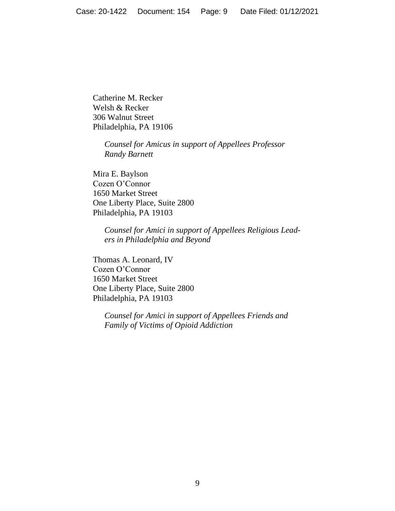Catherine M. Recker Welsh & Recker 306 Walnut Street Philadelphia, PA 19106

> *Counsel for Amicus in support of Appellees Professor Randy Barnett*

Mira E. Baylson Cozen O'Connor 1650 Market Street One Liberty Place, Suite 2800 Philadelphia, PA 19103

> *Counsel for Amici in support of Appellees Religious Leaders in Philadelphia and Beyond*

Thomas A. Leonard, IV Cozen O'Connor 1650 Market Street One Liberty Place, Suite 2800 Philadelphia, PA 19103

> *Counsel for Amici in support of Appellees Friends and Family of Victims of Opioid Addiction*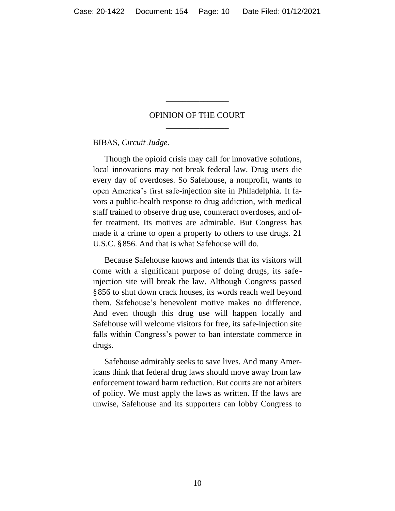## OPINION OF THE COURT \_\_\_\_\_\_\_\_\_\_\_\_\_\_\_

\_\_\_\_\_\_\_\_\_\_\_\_\_\_\_

BIBAS, *Circuit Judge*.

Though the opioid crisis may call for innovative solutions, local innovations may not break federal law. Drug users die every day of overdoses. So Safehouse, a nonprofit, wants to open America's first safe-injection site in Philadelphia. It favors a public-health response to drug addiction, with medical staff trained to observe drug use, counteract overdoses, and offer treatment. Its motives are admirable. But Congress has made it a crime to open a property to others to use drugs. 21 U.S.C. §856. And that is what Safehouse will do.

Because Safehouse knows and intends that its visitors will come with a significant purpose of doing drugs, its safeinjection site will break the law. Although Congress passed §856 to shut down crack houses, its words reach well beyond them. Safehouse's benevolent motive makes no difference. And even though this drug use will happen locally and Safehouse will welcome visitors for free, its safe-injection site falls within Congress's power to ban interstate commerce in drugs.

Safehouse admirably seeks to save lives. And many Americans think that federal drug laws should move away from law enforcement toward harm reduction. But courts are not arbiters of policy. We must apply the laws as written. If the laws are unwise, Safehouse and its supporters can lobby Congress to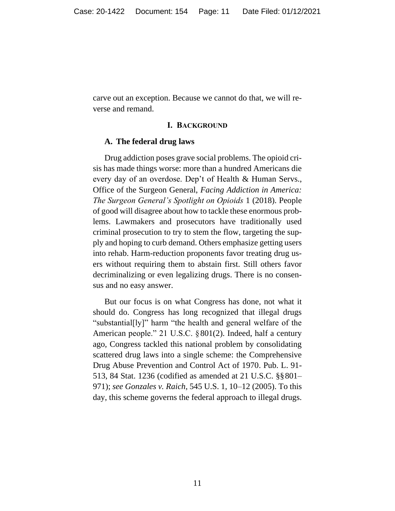carve out an exception. Because we cannot do that, we will reverse and remand.

## **I. BACKGROUND**

### **A. The federal drug laws**

Drug addiction poses grave social problems. The opioid crisis has made things worse: more than a hundred Americans die every day of an overdose. Dep't of Health & Human Servs., Office of the Surgeon General, *Facing Addiction in America: The Surgeon General's Spotlight on Opioids* 1 (2018). People of good will disagree about how to tackle these enormous problems. Lawmakers and prosecutors have traditionally used criminal prosecution to try to stem the flow, targeting the supply and hoping to curb demand. Others emphasize getting users into rehab. Harm-reduction proponents favor treating drug users without requiring them to abstain first. Still others favor decriminalizing or even legalizing drugs. There is no consensus and no easy answer.

But our focus is on what Congress has done, not what it should do. Congress has long recognized that illegal drugs "substantial[ly]" harm "the health and general welfare of the American people." 21 U.S.C. §801(2). Indeed, half a century ago, Congress tackled this national problem by consolidating scattered drug laws into a single scheme: the Comprehensive Drug Abuse Prevention and Control Act of 1970. Pub. L. 91- 513, 84 Stat. 1236 (codified as amended at 21 U.S.C. §§801– 971); *see Gonzales v. Raich*, 545 U.S. 1, 10–12 (2005). To this day, this scheme governs the federal approach to illegal drugs.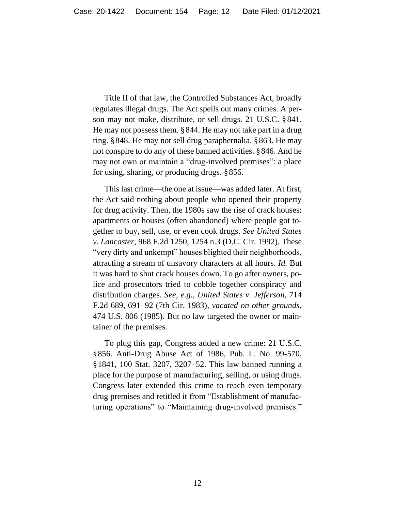Title II of that law, the Controlled Substances Act, broadly regulates illegal drugs. The Act spells out many crimes. A person may not make, distribute, or sell drugs. 21 U.S.C. §841. He may not possess them. §844. He may not take part in a drug ring. §848. He may not sell drug paraphernalia. §863. He may not conspire to do any of these banned activities. §846. And he may not own or maintain a "drug-involved premises": a place for using, sharing, or producing drugs. §856.

This last crime—the one at issue—was added later. At first, the Act said nothing about people who opened their property for drug activity. Then, the 1980s saw the rise of crack houses: apartments or houses (often abandoned) where people got together to buy, sell, use, or even cook drugs. *See United States v. Lancaster*, 968 F.2d 1250, 1254 n.3 (D.C. Cir. 1992). These "very dirty and unkempt" houses blighted their neighborhoods, attracting a stream of unsavory characters at all hours. *Id.* But it was hard to shut crack houses down. To go after owners, police and prosecutors tried to cobble together conspiracy and distribution charges. *See, e.g.*, *United States v. Jefferson*, 714 F.2d 689, 691–92 (7th Cir. 1983), *vacated on other grounds*, 474 U.S. 806 (1985). But no law targeted the owner or maintainer of the premises.

To plug this gap, Congress added a new crime: 21 U.S.C. §856. Anti-Drug Abuse Act of 1986, Pub. L. No. 99-570, §1841, 100 Stat. 3207, 3207–52. This law banned running a place for the purpose of manufacturing, selling, or using drugs. Congress later extended this crime to reach even temporary drug premises and retitled it from "Establishment of manufacturing operations" to "Maintaining drug-involved premises."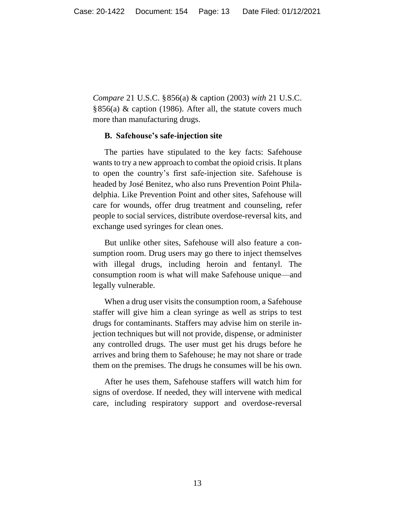*Compare* 21 U.S.C. §856(a) & caption (2003) *with* 21 U.S.C.  $§856(a)$  & caption (1986). After all, the statute covers much more than manufacturing drugs.

### **B. Safehouse's safe-injection site**

The parties have stipulated to the key facts: Safehouse wants to try a new approach to combat the opioid crisis. It plans to open the country's first safe-injection site. Safehouse is headed by José Benitez, who also runs Prevention Point Philadelphia. Like Prevention Point and other sites, Safehouse will care for wounds, offer drug treatment and counseling, refer people to social services, distribute overdose-reversal kits, and exchange used syringes for clean ones.

But unlike other sites, Safehouse will also feature a consumption room. Drug users may go there to inject themselves with illegal drugs, including heroin and fentanyl. The consumption room is what will make Safehouse unique—and legally vulnerable.

When a drug user visits the consumption room, a Safehouse staffer will give him a clean syringe as well as strips to test drugs for contaminants. Staffers may advise him on sterile injection techniques but will not provide, dispense, or administer any controlled drugs. The user must get his drugs before he arrives and bring them to Safehouse; he may not share or trade them on the premises. The drugs he consumes will be his own.

After he uses them, Safehouse staffers will watch him for signs of overdose. If needed, they will intervene with medical care, including respiratory support and overdose-reversal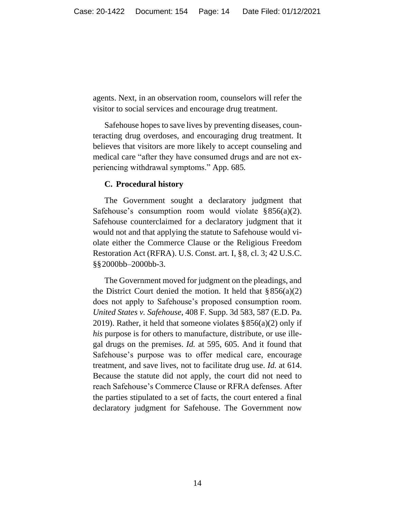agents. Next, in an observation room, counselors will refer the visitor to social services and encourage drug treatment.

Safehouse hopes to save lives by preventing diseases, counteracting drug overdoses, and encouraging drug treatment. It believes that visitors are more likely to accept counseling and medical care "after they have consumed drugs and are not experiencing withdrawal symptoms." App. 685*.*

## **C. Procedural history**

The Government sought a declaratory judgment that Safehouse's consumption room would violate  $\S 856(a)(2)$ . Safehouse counterclaimed for a declaratory judgment that it would not and that applying the statute to Safehouse would violate either the Commerce Clause or the Religious Freedom Restoration Act (RFRA). U.S. Const. art. I, §8, cl. 3; 42 U.S.C. §§2000bb–2000bb-3.

The Government moved for judgment on the pleadings, and the District Court denied the motion. It held that  $\S 856(a)(2)$ does not apply to Safehouse's proposed consumption room. *United States v. Safehouse*, 408 F. Supp. 3d 583, 587 (E.D. Pa. 2019). Rather, it held that someone violates  $§ 856(a)(2)$  only if *his* purpose is for others to manufacture, distribute, or use illegal drugs on the premises. *Id.* at 595, 605. And it found that Safehouse's purpose was to offer medical care, encourage treatment, and save lives, not to facilitate drug use. *Id.* at 614. Because the statute did not apply, the court did not need to reach Safehouse's Commerce Clause or RFRA defenses. After the parties stipulated to a set of facts, the court entered a final declaratory judgment for Safehouse. The Government now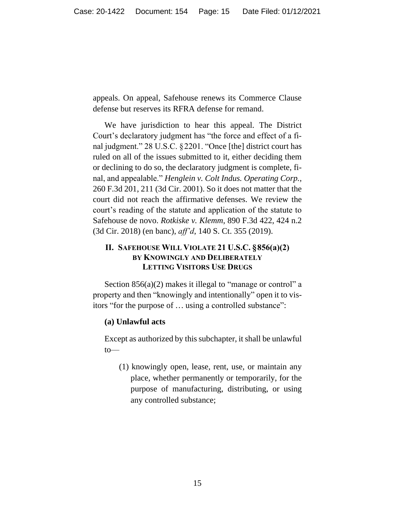appeals. On appeal, Safehouse renews its Commerce Clause defense but reserves its RFRA defense for remand.

We have jurisdiction to hear this appeal. The District Court's declaratory judgment has "the force and effect of a final judgment." 28 U.S.C. §2201. "Once [the] district court has ruled on all of the issues submitted to it, either deciding them or declining to do so, the declaratory judgment is complete, final, and appealable." *Henglein v. Colt Indus. Operating Corp.*, 260 F.3d 201, 211 (3d Cir. 2001). So it does not matter that the court did not reach the affirmative defenses. We review the court's reading of the statute and application of the statute to Safehouse de novo. *Rotkiske v. Klemm*, 890 F.3d 422, 424 n.2 (3d Cir. 2018) (en banc), *aff'd*, 140 S. Ct. 355 (2019).

# **II. SAFEHOUSE WILL VIOLATE 21 U.S.C. §856(a)(2) BY KNOWINGLY AND DELIBERATELY LETTING VISITORS USE DRUGS**

Section 856(a)(2) makes it illegal to "manage or control" a property and then "knowingly and intentionally" open it to visitors "for the purpose of ... using a controlled substance":

## **(a) Unlawful acts**

Except as authorized by this subchapter, it shall be unlawful to—

(1) knowingly open, lease, rent, use, or maintain any place, whether permanently or temporarily, for the purpose of manufacturing, distributing, or using any controlled substance;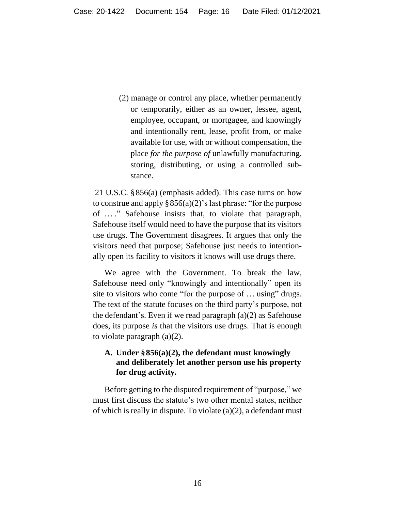(2) manage or control any place, whether permanently or temporarily, either as an owner, lessee, agent, employee, occupant, or mortgagee, and knowingly and intentionally rent, lease, profit from, or make available for use, with or without compensation, the place *for the purpose of* unlawfully manufacturing, storing, distributing, or using a controlled substance.

21 U.S.C. §856(a) (emphasis added). This case turns on how to construe and apply  $\S 856(a)(2)$ 's last phrase: "for the purpose of ... ." Safehouse insists that, to violate that paragraph, Safehouse itself would need to have the purpose that its visitors use drugs. The Government disagrees. It argues that only the visitors need that purpose; Safehouse just needs to intentionally open its facility to visitors it knows will use drugs there.

We agree with the Government. To break the law, Safehouse need only "knowingly and intentionally" open its site to visitors who come "for the purpose of ... using" drugs. The text of the statute focuses on the third party's purpose, not the defendant's. Even if we read paragraph (a)(2) as Safehouse does, its purpose *is* that the visitors use drugs. That is enough to violate paragraph (a)(2).

# **A. Under §856(a)(2), the defendant must knowingly and deliberately let another person use his property for drug activity.**

Before getting to the disputed requirement of "purpose," we must first discuss the statute's two other mental states, neither of which is really in dispute. To violate (a)(2), a defendant must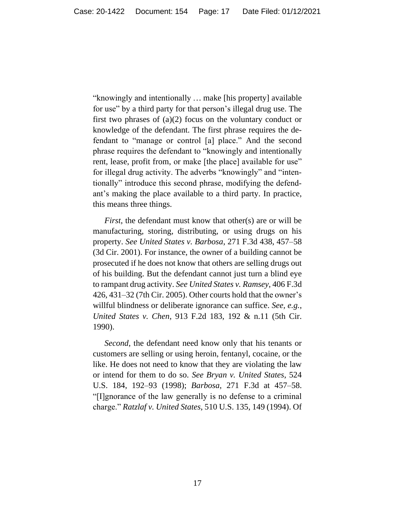"knowingly and intentionally ... make [his property] available for use" by a third party for that person's illegal drug use. The first two phrases of (a)(2) focus on the voluntary conduct or knowledge of the defendant. The first phrase requires the defendant to "manage or control [a] place." And the second phrase requires the defendant to "knowingly and intentionally rent, lease, profit from, or make [the place] available for use" for illegal drug activity. The adverbs "knowingly" and "intentionally" introduce this second phrase, modifying the defendant's making the place available to a third party. In practice, this means three things.

*First*, the defendant must know that other(s) are or will be manufacturing, storing, distributing, or using drugs on his property. *See United States v. Barbosa*, 271 F.3d 438, 457–58 (3d Cir. 2001). For instance, the owner of a building cannot be prosecuted if he does not know that others are selling drugs out of his building. But the defendant cannot just turn a blind eye to rampant drug activity. *See United States v. Ramsey*, 406 F.3d 426, 431–32 (7th Cir. 2005). Other courts hold that the owner's willful blindness or deliberate ignorance can suffice. *See, e.g.*, *United States v. Chen*, 913 F.2d 183, 192 & n.11 (5th Cir. 1990).

*Second*, the defendant need know only that his tenants or customers are selling or using heroin, fentanyl, cocaine, or the like. He does not need to know that they are violating the law or intend for them to do so. *See Bryan v. United States*, 524 U.S. 184, 192–93 (1998); *Barbosa*, 271 F.3d at 457–58. "[I]gnorance of the law generally is no defense to a criminal charge." *Ratzlaf v. United States*, 510 U.S. 135, 149 (1994). Of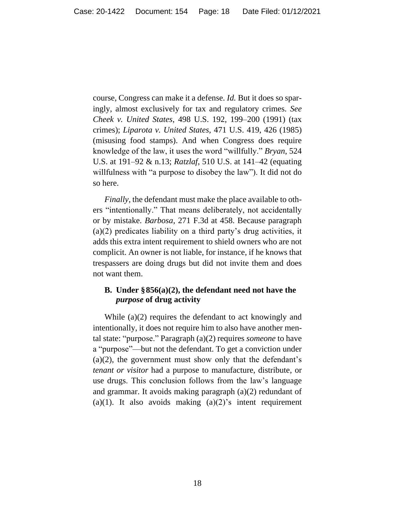course, Congress can make it a defense. *Id.* But it does so sparingly, almost exclusively for tax and regulatory crimes. *See Cheek v. United States*, 498 U.S. 192, 199–200 (1991) (tax crimes); *Liparota v. United States*, 471 U.S. 419, 426 (1985) (misusing food stamps). And when Congress does require knowledge of the law, it uses the word "willfully." *Bryan*, 524 U.S. at 191–92 & n.13; *Ratzlaf*, 510 U.S. at 141–42 (equating willfulness with "a purpose to disobey the law"). It did not do so here.

*Finally*, the defendant must make the place available to others "intentionally." That means deliberately, not accidentally or by mistake. *Barbosa*, 271 F.3d at 458. Because paragraph (a)(2) predicates liability on a third party's drug activities, it adds this extra intent requirement to shield owners who are not complicit. An owner is not liable, for instance, if he knows that trespassers are doing drugs but did not invite them and does not want them.

# **B. Under §856(a)(2), the defendant need not have the**  *purpose* **of drug activity**

While (a)(2) requires the defendant to act knowingly and intentionally, it does not require him to also have another mental state: "purpose." Paragraph (a)(2) requires *someone* to have a "purpose"—but not the defendant. To get a conviction under (a)(2), the government must show only that the defendant's *tenant or visitor* had a purpose to manufacture, distribute, or use drugs. This conclusion follows from the law's language and grammar. It avoids making paragraph (a)(2) redundant of (a)(1). It also avoids making  $(a)(2)$ 's intent requirement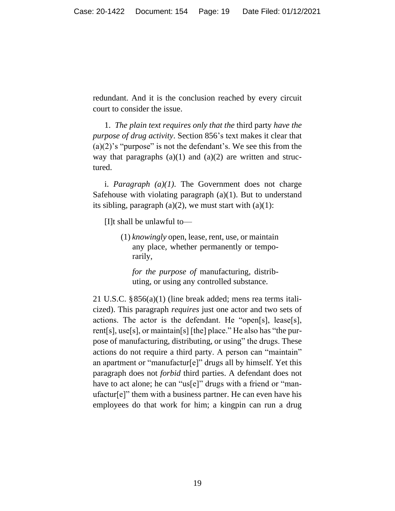redundant. And it is the conclusion reached by every circuit court to consider the issue.

1. *The plain text requires only that the* third party *have the purpose of drug activity*. Section 856's text makes it clear that  $(a)(2)$ 's "purpose" is not the defendant's. We see this from the way that paragraphs  $(a)(1)$  and  $(a)(2)$  are written and structured.

i. *Paragraph*  $(a)(1)$ . The Government does not charge Safehouse with violating paragraph  $(a)(1)$ . But to understand its sibling, paragraph  $(a)(2)$ , we must start with  $(a)(1)$ :

[I]t shall be unlawful to—

(1) *knowingly* open, lease, rent, use, or maintain any place, whether permanently or temporarily,

*for the purpose of* manufacturing, distributing, or using any controlled substance.

21 U.S.C. §856(a)(1) (line break added; mens rea terms italicized). This paragraph *requires* just one actor and two sets of actions. The actor is the defendant. He "open[s], lease[s], rent[s], use[s], or maintain[s] [the] place." He also has "the purpose of manufacturing, distributing, or using" the drugs. These actions do not require a third party. A person can "maintain" an apartment or "manufactur[e]" drugs all by himself. Yet this paragraph does not *forbid* third parties. A defendant does not have to act alone; he can "us[e]" drugs with a friend or "manufactur[e]" them with a business partner. He can even have his employees do that work for him; a kingpin can run a drug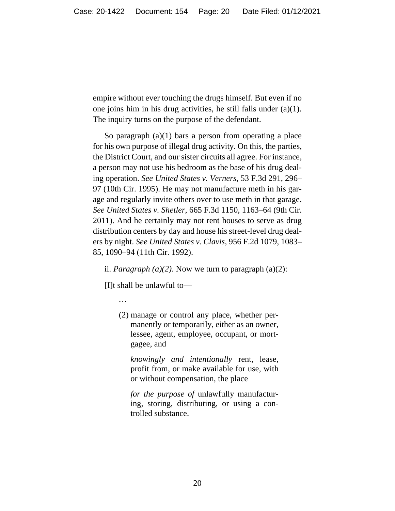empire without ever touching the drugs himself. But even if no one joins him in his drug activities, he still falls under (a)(1). The inquiry turns on the purpose of the defendant.

So paragraph  $(a)(1)$  bars a person from operating a place for his own purpose of illegal drug activity. On this, the parties, the District Court, and our sister circuits all agree. For instance, a person may not use his bedroom as the base of his drug dealing operation. *See United States v. Verners*, 53 F.3d 291, 296– 97 (10th Cir. 1995). He may not manufacture meth in his garage and regularly invite others over to use meth in that garage. *See United States v. Shetler*, 665 F.3d 1150, 1163–64 (9th Cir. 2011). And he certainly may not rent houses to serve as drug distribution centers by day and house his street-level drug dealers by night. *See United States v. Clavis*, 956 F.2d 1079, 1083– 85, 1090–94 (11th Cir. 1992).

ii. *Paragraph*  $(a)(2)$ . Now we turn to paragraph  $(a)(2)$ :

[I]t shall be unlawful to—

...

(2) manage or control any place, whether permanently or temporarily, either as an owner, lessee, agent, employee, occupant, or mortgagee, and

*knowingly and intentionally* rent, lease, profit from, or make available for use, with or without compensation, the place

*for the purpose of* unlawfully manufacturing, storing, distributing, or using a controlled substance.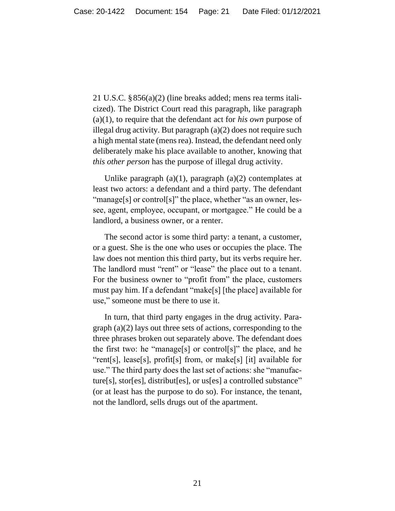21 U.S.C. §856(a)(2) (line breaks added; mens rea terms italicized). The District Court read this paragraph, like paragraph (a)(1), to require that the defendant act for *his own* purpose of illegal drug activity. But paragraph (a)(2) does not require such a high mental state (mens rea). Instead, the defendant need only deliberately make his place available to another, knowing that *this other person* has the purpose of illegal drug activity.

Unlike paragraph  $(a)(1)$ , paragraph  $(a)(2)$  contemplates at least two actors: a defendant and a third party. The defendant "manage[s] or control[s]" the place, whether "as an owner, lessee, agent, employee, occupant, or mortgagee." He could be a landlord, a business owner, or a renter.

The second actor is some third party: a tenant, a customer, or a guest. She is the one who uses or occupies the place. The law does not mention this third party, but its verbs require her. The landlord must "rent" or "lease" the place out to a tenant. For the business owner to "profit from" the place, customers must pay him. If a defendant "make[s] [the place] available for use," someone must be there to use it.

In turn, that third party engages in the drug activity. Paragraph (a)(2) lays out three sets of actions, corresponding to the three phrases broken out separately above. The defendant does the first two: he "manage[s] or control[s]" the place, and he "rent[s], lease[s], profit[s] from, or make[s] [it] available for use." The third party does the last set of actions: she "manufacture[s], stor[es], distribut[es], or us[es] a controlled substance" (or at least has the purpose to do so). For instance, the tenant, not the landlord, sells drugs out of the apartment.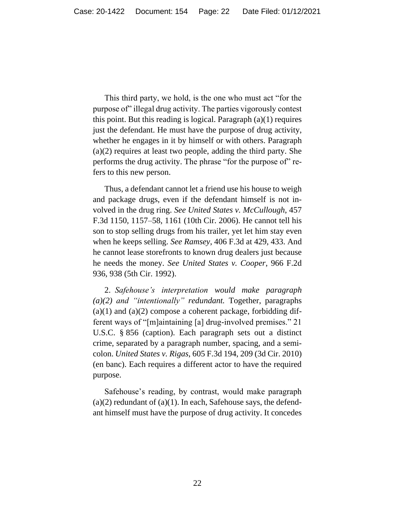This third party, we hold, is the one who must act "for the purpose of" illegal drug activity. The parties vigorously contest this point. But this reading is logical. Paragraph  $(a)(1)$  requires just the defendant. He must have the purpose of drug activity, whether he engages in it by himself or with others. Paragraph (a)(2) requires at least two people, adding the third party. She performs the drug activity. The phrase "for the purpose of" refers to this new person.

Thus, a defendant cannot let a friend use his house to weigh and package drugs, even if the defendant himself is not involved in the drug ring. *See United States v. McCullough*, 457 F.3d 1150, 1157–58, 1161 (10th Cir. 2006). He cannot tell his son to stop selling drugs from his trailer, yet let him stay even when he keeps selling. *See Ramsey*, 406 F.3d at 429, 433. And he cannot lease storefronts to known drug dealers just because he needs the money. *See United States v. Cooper*, 966 F.2d 936, 938 (5th Cir. 1992).

2. *Safehouse's interpretation would make paragraph (a)(2) and "intentionally" redundant.* Together, paragraphs  $(a)(1)$  and  $(a)(2)$  compose a coherent package, forbidding different ways of "[m]aintaining [a] drug-involved premises." 21 U.S.C. § 856 (caption). Each paragraph sets out a distinct crime, separated by a paragraph number, spacing, and a semicolon. *United States v. Rigas*, 605 F.3d 194, 209 (3d Cir. 2010) (en banc). Each requires a different actor to have the required purpose.

Safehouse's reading, by contrast, would make paragraph  $(a)(2)$  redundant of  $(a)(1)$ . In each, Safehouse says, the defendant himself must have the purpose of drug activity. It concedes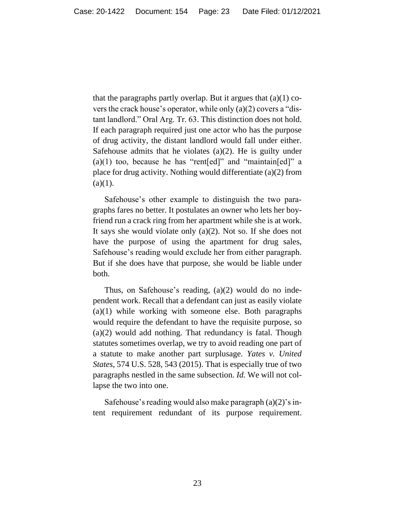that the paragraphs partly overlap. But it argues that  $(a)(1)$  covers the crack house's operator, while only (a)(2) covers a "distant landlord." Oral Arg. Tr. 63. This distinction does not hold. If each paragraph required just one actor who has the purpose of drug activity, the distant landlord would fall under either. Safehouse admits that he violates  $(a)(2)$ . He is guilty under  $(a)(1)$  too, because he has "rent[ed]" and "maintain[ed]" a place for drug activity. Nothing would differentiate (a)(2) from  $(a)(1)$ .

Safehouse's other example to distinguish the two paragraphs fares no better. It postulates an owner who lets her boyfriend run a crack ring from her apartment while she is at work. It says she would violate only (a)(2). Not so. If she does not have the purpose of using the apartment for drug sales, Safehouse's reading would exclude her from either paragraph. But if she does have that purpose, she would be liable under both.

Thus, on Safehouse's reading, (a)(2) would do no independent work. Recall that a defendant can just as easily violate (a)(1) while working with someone else. Both paragraphs would require the defendant to have the requisite purpose, so (a)(2) would add nothing. That redundancy is fatal. Though statutes sometimes overlap, we try to avoid reading one part of a statute to make another part surplusage. *Yates v. United States*, 574 U.S. 528, 543 (2015). That is especially true of two paragraphs nestled in the same subsection. *Id.* We will not collapse the two into one.

Safehouse's reading would also make paragraph (a)(2)'s intent requirement redundant of its purpose requirement.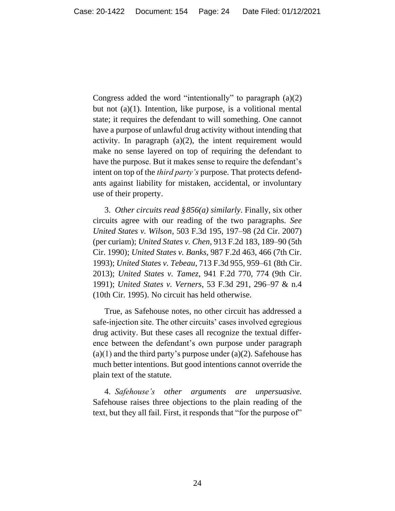Congress added the word "intentionally" to paragraph (a)(2) but not (a)(1). Intention, like purpose, is a volitional mental state; it requires the defendant to will something. One cannot have a purpose of unlawful drug activity without intending that activity. In paragraph  $(a)(2)$ , the intent requirement would make no sense layered on top of requiring the defendant to have the purpose. But it makes sense to require the defendant's intent on top of the *third party's* purpose. That protects defendants against liability for mistaken, accidental, or involuntary use of their property.

3. *Other circuits read §856(a) similarly*. Finally, six other circuits agree with our reading of the two paragraphs. *See United States v. Wilson*, 503 F.3d 195, 197–98 (2d Cir. 2007) (per curiam); *United States v. Chen*, 913 F.2d 183, 189–90 (5th Cir. 1990); *United States v. Banks*, 987 F.2d 463, 466 (7th Cir. 1993); *United States v. Tebeau*, 713 F.3d 955, 959–61 (8th Cir. 2013); *United States v. Tamez*, 941 F.2d 770, 774 (9th Cir. 1991); *United States v. Verners*, 53 F.3d 291, 296–97 & n.4 (10th Cir. 1995). No circuit has held otherwise.

True, as Safehouse notes, no other circuit has addressed a safe-injection site. The other circuits' cases involved egregious drug activity. But these cases all recognize the textual difference between the defendant's own purpose under paragraph  $(a)(1)$  and the third party's purpose under  $(a)(2)$ . Safehouse has much better intentions. But good intentions cannot override the plain text of the statute.

4. *Safehouse's other arguments are unpersuasive.* Safehouse raises three objections to the plain reading of the text, but they all fail. First, it responds that "for the purpose of"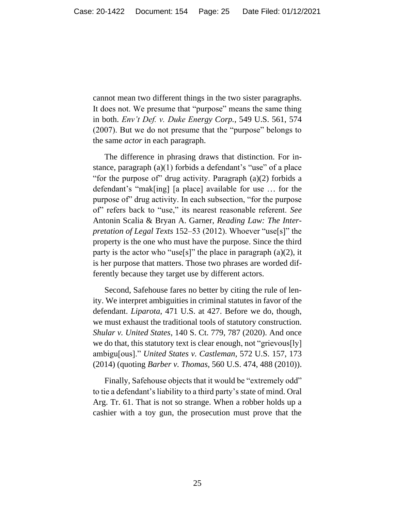cannot mean two different things in the two sister paragraphs. It does not. We presume that "purpose" means the same thing in both. *Env't Def. v. Duke Energy Corp.*, 549 U.S. 561, 574 (2007). But we do not presume that the "purpose" belongs to the same *actor* in each paragraph.

The difference in phrasing draws that distinction. For instance, paragraph (a)(1) forbids a defendant's "use" of a place "for the purpose of" drug activity. Paragraph (a)(2) forbids a defendant's "mak[ing] [a place] available for use ... for the purpose of" drug activity. In each subsection, "for the purpose of" refers back to "use," its nearest reasonable referent. *See*  Antonin Scalia & Bryan A. Garner, *Reading Law: The Interpretation of Legal Texts* 152–53 (2012). Whoever "use[s]" the property is the one who must have the purpose. Since the third party is the actor who "use[s]" the place in paragraph  $(a)(2)$ , it is her purpose that matters. Those two phrases are worded differently because they target use by different actors.

Second, Safehouse fares no better by citing the rule of lenity. We interpret ambiguities in criminal statutes in favor of the defendant. *Liparota*, 471 U.S. at 427. Before we do, though, we must exhaust the traditional tools of statutory construction. *Shular v. United States*, 140 S. Ct. 779, 787 (2020). And once we do that, this statutory text is clear enough, not "grievous[ly] ambigu[ous]." *United States v. Castleman*, 572 U.S. 157, 173 (2014) (quoting *Barber v. Thomas*, 560 U.S. 474, 488 (2010)).

Finally, Safehouse objects that it would be "extremely odd" to tie a defendant's liability to a third party's state of mind. Oral Arg. Tr. 61. That is not so strange. When a robber holds up a cashier with a toy gun, the prosecution must prove that the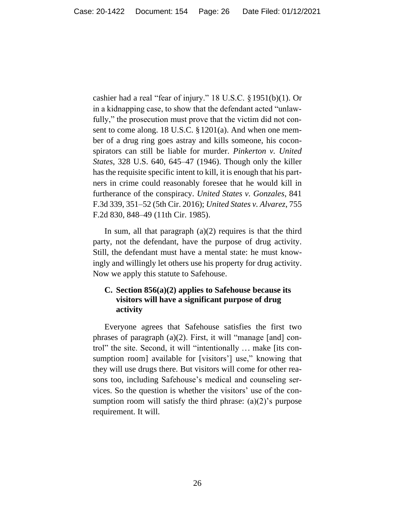cashier had a real "fear of injury." 18 U.S.C. §1951(b)(1). Or in a kidnapping case, to show that the defendant acted "unlawfully," the prosecution must prove that the victim did not consent to come along. 18 U.S.C. §1201(a). And when one member of a drug ring goes astray and kills someone, his coconspirators can still be liable for murder. *Pinkerton v. United States*, 328 U.S. 640, 645–47 (1946). Though only the killer has the requisite specific intent to kill, it is enough that his partners in crime could reasonably foresee that he would kill in furtherance of the conspiracy. *United States v. Gonzales*, 841 F.3d 339, 351–52 (5th Cir. 2016); *United States v. Alvarez*, 755 F.2d 830, 848–49 (11th Cir. 1985).

In sum, all that paragraph  $(a)(2)$  requires is that the third party, not the defendant, have the purpose of drug activity. Still, the defendant must have a mental state: he must knowingly and willingly let others use his property for drug activity. Now we apply this statute to Safehouse.

# **C. Section 856(a)(2) applies to Safehouse because its visitors will have a significant purpose of drug activity**

Everyone agrees that Safehouse satisfies the first two phrases of paragraph (a)(2). First, it will "manage [and] control" the site. Second, it will "intentionally ... make [its consumption room] available for [visitors'] use," knowing that they will use drugs there. But visitors will come for other reasons too, including Safehouse's medical and counseling services. So the question is whether the visitors' use of the consumption room will satisfy the third phrase:  $(a)(2)$ 's purpose requirement. It will.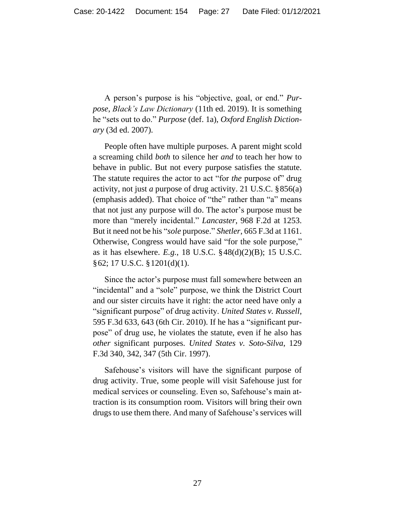A person's purpose is his "objective, goal, or end." *Purpose*, *Black's Law Dictionary* (11th ed. 2019). It is something he "sets out to do." *Purpose* (def. 1a), *Oxford English Dictionary* (3d ed. 2007).

People often have multiple purposes. A parent might scold a screaming child *both* to silence her *and* to teach her how to behave in public. But not every purpose satisfies the statute. The statute requires the actor to act "for *the* purpose of" drug activity, not just *a* purpose of drug activity. 21 U.S.C. §856(a) (emphasis added). That choice of "the" rather than "a" means that not just any purpose will do. The actor's purpose must be more than "merely incidental." *Lancaster*, 968 F.2d at 1253. But it need not be his "*sole* purpose." *Shetler*, 665 F.3d at 1161. Otherwise, Congress would have said "for the sole purpose," as it has elsewhere. *E.g.*, 18 U.S.C. §48(d)(2)(B); 15 U.S.C. §62; 17 U.S.C. §1201(d)(1).

Since the actor's purpose must fall somewhere between an "incidental" and a "sole" purpose, we think the District Court and our sister circuits have it right: the actor need have only a "significant purpose" of drug activity. *United States v. Russell*, 595 F.3d 633, 643 (6th Cir. 2010). If he has a "significant purpose" of drug use, he violates the statute, even if he also has *other* significant purposes. *United States v. Soto-Silva*, 129 F.3d 340, 342, 347 (5th Cir. 1997).

Safehouse's visitors will have the significant purpose of drug activity. True, some people will visit Safehouse just for medical services or counseling. Even so, Safehouse's main attraction is its consumption room. Visitors will bring their own drugs to use them there. And many of Safehouse's services will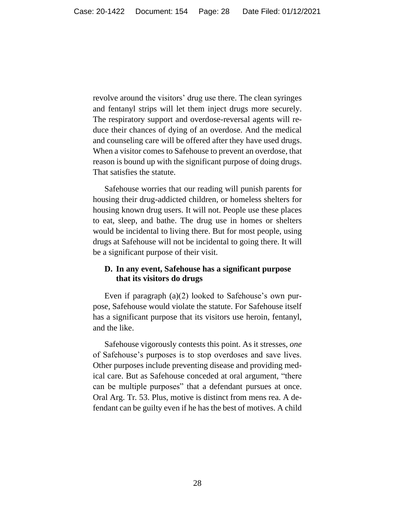revolve around the visitors' drug use there. The clean syringes and fentanyl strips will let them inject drugs more securely. The respiratory support and overdose-reversal agents will reduce their chances of dying of an overdose. And the medical and counseling care will be offered after they have used drugs. When a visitor comes to Safehouse to prevent an overdose, that reason is bound up with the significant purpose of doing drugs. That satisfies the statute.

Safehouse worries that our reading will punish parents for housing their drug-addicted children, or homeless shelters for housing known drug users. It will not. People use these places to eat, sleep, and bathe. The drug use in homes or shelters would be incidental to living there. But for most people, using drugs at Safehouse will not be incidental to going there. It will be a significant purpose of their visit.

# **D. In any event, Safehouse has a significant purpose that its visitors do drugs**

Even if paragraph (a)(2) looked to Safehouse's own purpose, Safehouse would violate the statute. For Safehouse itself has a significant purpose that its visitors use heroin, fentanyl, and the like.

Safehouse vigorously contests this point. As it stresses, *one* of Safehouse's purposes is to stop overdoses and save lives. Other purposes include preventing disease and providing medical care. But as Safehouse conceded at oral argument, "there can be multiple purposes" that a defendant pursues at once. Oral Arg. Tr*.* 53. Plus, motive is distinct from mens rea. A defendant can be guilty even if he has the best of motives. A child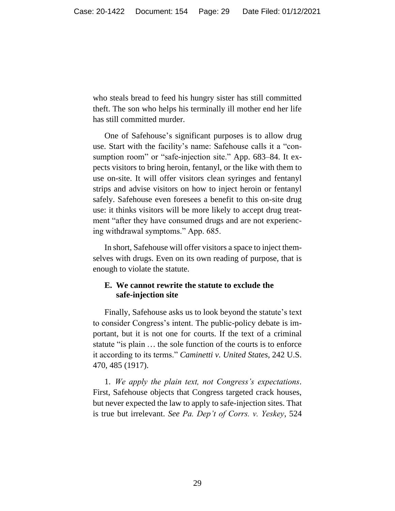who steals bread to feed his hungry sister has still committed theft. The son who helps his terminally ill mother end her life has still committed murder.

One of Safehouse's significant purposes is to allow drug use. Start with the facility's name: Safehouse calls it a "consumption room" or "safe-injection site." App. 683–84. It expects visitors to bring heroin, fentanyl, or the like with them to use on-site. It will offer visitors clean syringes and fentanyl strips and advise visitors on how to inject heroin or fentanyl safely. Safehouse even foresees a benefit to this on-site drug use: it thinks visitors will be more likely to accept drug treatment "after they have consumed drugs and are not experiencing withdrawal symptoms." App. 685.

In short, Safehouse will offer visitors a space to inject themselves with drugs. Even on its own reading of purpose, that is enough to violate the statute.

# **E. We cannot rewrite the statute to exclude the safe-injection site**

Finally, Safehouse asks us to look beyond the statute's text to consider Congress's intent. The public-policy debate is important, but it is not one for courts. If the text of a criminal statute "is plain ... the sole function of the courts is to enforce it according to its terms." *Caminetti v. United States*, 242 U.S. 470, 485 (1917).

1. *We apply the plain text, not Congress's expectations.*  First, Safehouse objects that Congress targeted crack houses, but never expected the law to apply to safe-injection sites. That is true but irrelevant. *See Pa. Dep't of Corrs. v. Yeskey*, 524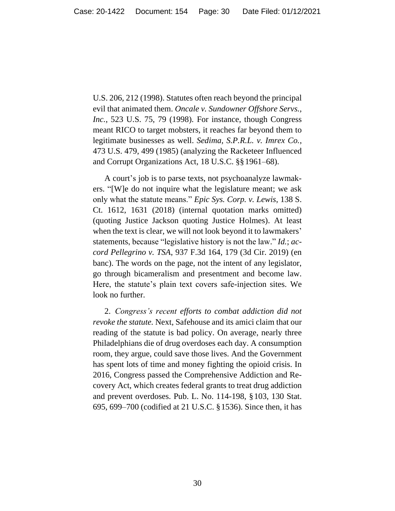U.S. 206, 212 (1998). Statutes often reach beyond the principal evil that animated them. *Oncale v. Sundowner Offshore Servs., Inc.*, 523 U.S. 75, 79 (1998). For instance, though Congress meant RICO to target mobsters, it reaches far beyond them to legitimate businesses as well. *Sedima, S.P.R.L. v. Imrex Co.*, 473 U.S. 479, 499 (1985) (analyzing the Racketeer Influenced and Corrupt Organizations Act, 18 U.S.C. §§1961–68).

A court's job is to parse texts, not psychoanalyze lawmakers. "[W]e do not inquire what the legislature meant; we ask only what the statute means." *Epic Sys. Corp. v. Lewis*, 138 S. Ct. 1612, 1631 (2018) (internal quotation marks omitted) (quoting Justice Jackson quoting Justice Holmes). At least when the text is clear, we will not look beyond it to lawmakers' statements, because "legislative history is not the law." *Id.*; *accord Pellegrino v. TSA*, 937 F.3d 164, 179 (3d Cir. 2019) (en banc). The words on the page, not the intent of any legislator, go through bicameralism and presentment and become law. Here, the statute's plain text covers safe-injection sites. We look no further.

2. *Congress's recent efforts to combat addiction did not revoke the statute.* Next, Safehouse and its amici claim that our reading of the statute is bad policy. On average, nearly three Philadelphians die of drug overdoses each day. A consumption room, they argue, could save those lives. And the Government has spent lots of time and money fighting the opioid crisis. In 2016, Congress passed the Comprehensive Addiction and Recovery Act, which creates federal grants to treat drug addiction and prevent overdoses. Pub. L. No. 114-198, §103, 130 Stat. 695, 699–700 (codified at 21 U.S.C. §1536). Since then, it has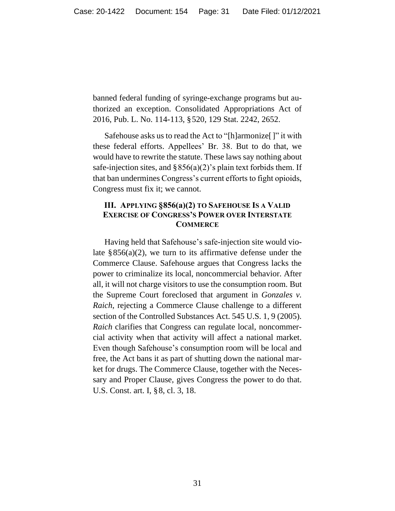banned federal funding of syringe-exchange programs but authorized an exception. Consolidated Appropriations Act of 2016, Pub. L. No. 114-113, §520, 129 Stat. 2242, 2652.

Safehouse asks us to read the Act to "[h]armonize[]" it with these federal efforts. Appellees' Br. 38. But to do that, we would have to rewrite the statute. These laws say nothing about safe-injection sites, and  $\S 856(a)(2)$ 's plain text forbids them. If that ban undermines Congress's current efforts to fight opioids, Congress must fix it; we cannot.

# **III. APPLYING §856(a)(2) TO SAFEHOUSE IS A VALID EXERCISE OF CONGRESS'S POWER OVER INTERSTATE COMMERCE**

Having held that Safehouse's safe-injection site would violate  $\S 856(a)(2)$ , we turn to its affirmative defense under the Commerce Clause. Safehouse argues that Congress lacks the power to criminalize its local, noncommercial behavior. After all, it will not charge visitors to use the consumption room. But the Supreme Court foreclosed that argument in *Gonzales v. Raich*, rejecting a Commerce Clause challenge to a different section of the Controlled Substances Act. 545 U.S. 1, 9 (2005). *Raich* clarifies that Congress can regulate local, noncommercial activity when that activity will affect a national market. Even though Safehouse's consumption room will be local and free, the Act bans it as part of shutting down the national market for drugs. The Commerce Clause, together with the Necessary and Proper Clause, gives Congress the power to do that. U.S. Const. art. I, §8, cl. 3, 18.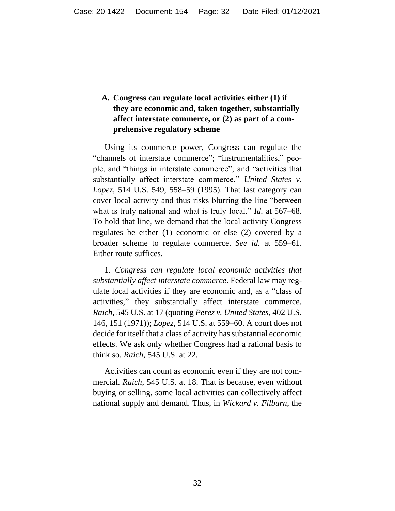# **A. Congress can regulate local activities either (1) if they are economic and, taken together, substantially affect interstate commerce, or (2) as part of a comprehensive regulatory scheme**

Using its commerce power, Congress can regulate the "channels of interstate commerce"; "instrumentalities," people, and "things in interstate commerce"; and "activities that substantially affect interstate commerce." *United States v. Lopez*, 514 U.S. 549, 558–59 (1995). That last category can cover local activity and thus risks blurring the line "between what is truly national and what is truly local." *Id.* at 567–68. To hold that line, we demand that the local activity Congress regulates be either (1) economic or else (2) covered by a broader scheme to regulate commerce. *See id.* at 559–61. Either route suffices.

1. *Congress can regulate local economic activities that substantially affect interstate commerce*. Federal law may regulate local activities if they are economic and, as a "class of activities," they substantially affect interstate commerce. *Raich*, 545 U.S. at 17 (quoting *Perez v. United States*, 402 U.S. 146, 151 (1971)); *Lopez*, 514 U.S. at 559–60. A court does not decide for itself that a class of activity has substantial economic effects. We ask only whether Congress had a rational basis to think so. *Raich*, 545 U.S. at 22.

Activities can count as economic even if they are not commercial. *Raich*, 545 U.S. at 18. That is because, even without buying or selling, some local activities can collectively affect national supply and demand. Thus, in *Wickard v. Filburn*, the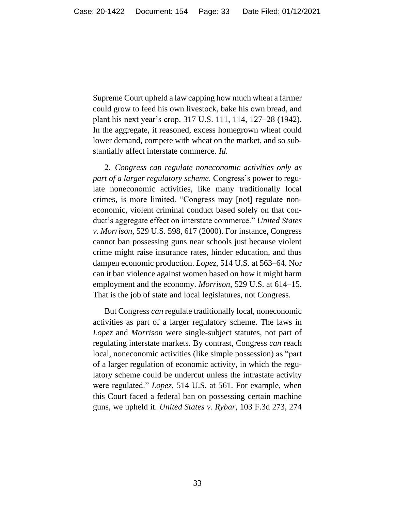Supreme Court upheld a law capping how much wheat a farmer could grow to feed his own livestock, bake his own bread, and plant his next year's crop. 317 U.S. 111, 114, 127–28 (1942). In the aggregate, it reasoned, excess homegrown wheat could lower demand, compete with wheat on the market, and so substantially affect interstate commerce. *Id.*

2. *Congress can regulate noneconomic activities only as part of a larger regulatory scheme.* Congress's power to regulate noneconomic activities, like many traditionally local crimes, is more limited. "Congress may [not] regulate noneconomic, violent criminal conduct based solely on that conduct's aggregate effect on interstate commerce." *United States v. Morrison*, 529 U.S. 598, 617 (2000). For instance, Congress cannot ban possessing guns near schools just because violent crime might raise insurance rates, hinder education, and thus dampen economic production. *Lopez*, 514 U.S. at 563–64. Nor can it ban violence against women based on how it might harm employment and the economy. *Morrison*, 529 U.S. at 614–15. That is the job of state and local legislatures, not Congress.

But Congress *can* regulate traditionally local, noneconomic activities as part of a larger regulatory scheme. The laws in *Lopez* and *Morrison* were single-subject statutes, not part of regulating interstate markets. By contrast, Congress *can* reach local, noneconomic activities (like simple possession) as "part of a larger regulation of economic activity, in which the regulatory scheme could be undercut unless the intrastate activity were regulated." *Lopez*, 514 U.S. at 561. For example, when this Court faced a federal ban on possessing certain machine guns, we upheld it. *United States v. Rybar*, 103 F.3d 273, 274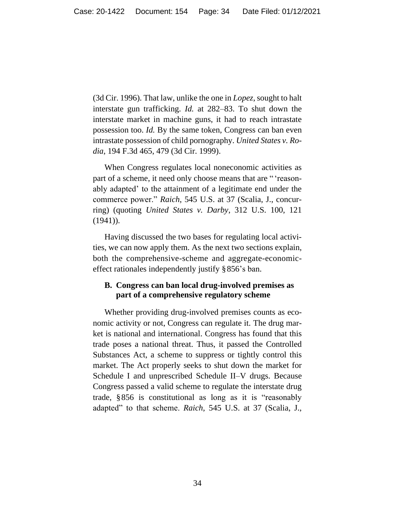(3d Cir. 1996). That law, unlike the one in *Lopez*, sought to halt interstate gun trafficking. *Id.* at 282–83. To shut down the interstate market in machine guns, it had to reach intrastate possession too. *Id.* By the same token, Congress can ban even intrastate possession of child pornography. *United States v. Rodia*, 194 F.3d 465, 479 (3d Cir. 1999).

When Congress regulates local noneconomic activities as part of a scheme, it need only choose means that are " 'reasonably adapted' to the attainment of a legitimate end under the commerce power." *Raich*, 545 U.S. at 37 (Scalia, J., concurring) (quoting *United States v. Darby*, 312 U.S. 100, 121  $(1941)$ .

Having discussed the two bases for regulating local activities, we can now apply them. As the next two sections explain, both the comprehensive-scheme and aggregate-economiceffect rationales independently justify §856's ban.

# **B. Congress can ban local drug-involved premises as part of a comprehensive regulatory scheme**

Whether providing drug-involved premises counts as economic activity or not, Congress can regulate it. The drug market is national and international. Congress has found that this trade poses a national threat. Thus, it passed the Controlled Substances Act, a scheme to suppress or tightly control this market. The Act properly seeks to shut down the market for Schedule I and unprescribed Schedule II–V drugs. Because Congress passed a valid scheme to regulate the interstate drug trade, §856 is constitutional as long as it is "reasonably adapted" to that scheme. *Raich*, 545 U.S. at 37 (Scalia, J.,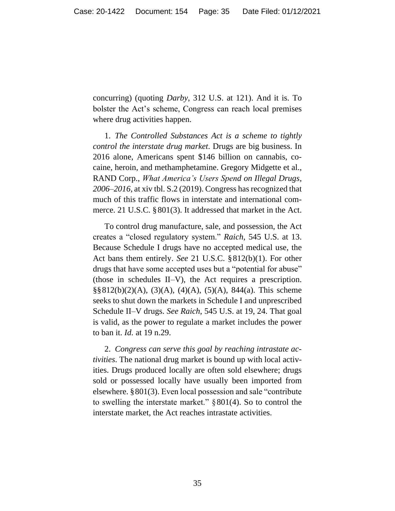concurring) (quoting *Darby*, 312 U.S. at 121). And it is. To bolster the Act's scheme, Congress can reach local premises where drug activities happen.

1. *The Controlled Substances Act is a scheme to tightly control the interstate drug market*. Drugs are big business. In 2016 alone, Americans spent \$146 billion on cannabis, cocaine, heroin, and methamphetamine. Gregory Midgette et al., RAND Corp., *What America's Users Spend on Illegal Drugs, 2006–2016*, at xiv tbl. S.2 (2019). Congress has recognized that much of this traffic flows in interstate and international commerce. 21 U.S.C. §801(3). It addressed that market in the Act.

To control drug manufacture, sale, and possession, the Act creates a "closed regulatory system." *Raich*, 545 U.S. at 13. Because Schedule I drugs have no accepted medical use, the Act bans them entirely. *See* 21 U.S.C. §812(b)(1). For other drugs that have some accepted uses but a "potential for abuse" (those in schedules II–V), the Act requires a prescription. §§812(b)(2)(A), (3)(A), (4)(A), (5)(A), 844(a). This scheme seeks to shut down the markets in Schedule I and unprescribed Schedule II–V drugs. *See Raich*, 545 U.S. at 19, 24. That goal is valid, as the power to regulate a market includes the power to ban it. *Id.* at 19 n.29.

2. *Congress can serve this goal by reaching intrastate activities*. The national drug market is bound up with local activities. Drugs produced locally are often sold elsewhere; drugs sold or possessed locally have usually been imported from elsewhere. §801(3). Even local possession and sale "contribute to swelling the interstate market."  $§ 801(4)$ . So to control the interstate market, the Act reaches intrastate activities.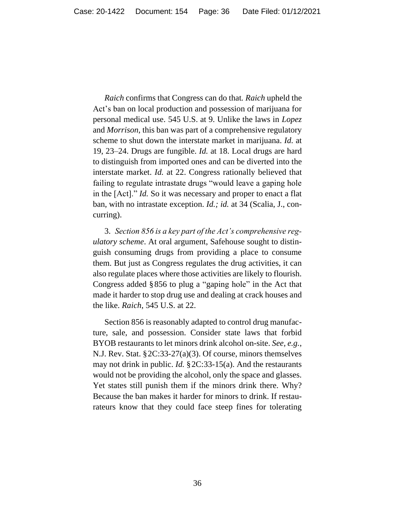*Raich* confirms that Congress can do that*. Raich* upheld the Act's ban on local production and possession of marijuana for personal medical use. 545 U.S. at 9. Unlike the laws in *Lopez* and *Morrison*, this ban was part of a comprehensive regulatory scheme to shut down the interstate market in marijuana. *Id.* at 19, 23–24. Drugs are fungible. *Id.* at 18. Local drugs are hard to distinguish from imported ones and can be diverted into the interstate market. *Id.* at 22. Congress rationally believed that failing to regulate intrastate drugs "would leave a gaping hole in the [Act]." *Id.* So it was necessary and proper to enact a flat ban, with no intrastate exception. *Id.; id.* at 34 (Scalia, J., concurring).

3. *Section 856 is a key part of the Act's comprehensive regulatory scheme*. At oral argument, Safehouse sought to distinguish consuming drugs from providing a place to consume them. But just as Congress regulates the drug activities, it can also regulate places where those activities are likely to flourish. Congress added §856 to plug a "gaping hole" in the Act that made it harder to stop drug use and dealing at crack houses and the like. *Raich*, 545 U.S. at 22.

Section 856 is reasonably adapted to control drug manufacture, sale, and possession. Consider state laws that forbid BYOB restaurants to let minors drink alcohol on-site. *See, e.g.*, N.J. Rev. Stat. §2C:33-27(a)(3). Of course, minors themselves may not drink in public. *Id.* §2C:33-15(a). And the restaurants would not be providing the alcohol, only the space and glasses. Yet states still punish them if the minors drink there. Why? Because the ban makes it harder for minors to drink. If restaurateurs know that they could face steep fines for tolerating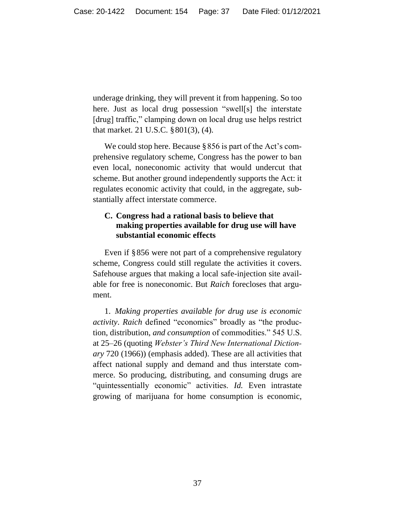underage drinking, they will prevent it from happening. So too here. Just as local drug possession "swell[s] the interstate [drug] traffic," clamping down on local drug use helps restrict that market. 21 U.S.C. §801(3), (4).

We could stop here. Because §856 is part of the Act's comprehensive regulatory scheme, Congress has the power to ban even local, noneconomic activity that would undercut that scheme. But another ground independently supports the Act: it regulates economic activity that could, in the aggregate, substantially affect interstate commerce.

# **C. Congress had a rational basis to believe that making properties available for drug use will have substantial economic effects**

Even if §856 were not part of a comprehensive regulatory scheme, Congress could still regulate the activities it covers. Safehouse argues that making a local safe-injection site available for free is noneconomic. But *Raich* forecloses that argument.

1. *Making properties available for drug use is economic activity*. *Raich* defined "economics" broadly as "the production, distribution, *and consumption* of commodities." 545 U.S. at 25–26 (quoting *Webster's Third New International Dictionary* 720 (1966)) (emphasis added). These are all activities that affect national supply and demand and thus interstate commerce. So producing, distributing, and consuming drugs are "quintessentially economic" activities. *Id.* Even intrastate growing of marijuana for home consumption is economic,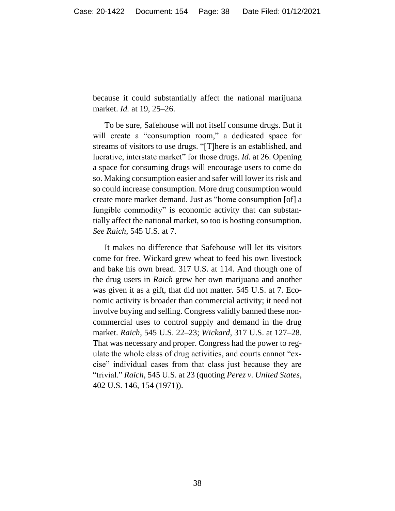because it could substantially affect the national marijuana market. *Id.* at 19, 25–26.

To be sure, Safehouse will not itself consume drugs. But it will create a "consumption room," a dedicated space for streams of visitors to use drugs. "[T]here is an established, and lucrative, interstate market" for those drugs. *Id.* at 26. Opening a space for consuming drugs will encourage users to come do so. Making consumption easier and safer will lower its risk and so could increase consumption. More drug consumption would create more market demand. Just as "home consumption [of] a fungible commodity" is economic activity that can substantially affect the national market, so too is hosting consumption. *See Raich*, 545 U.S. at 7.

It makes no difference that Safehouse will let its visitors come for free. Wickard grew wheat to feed his own livestock and bake his own bread. 317 U.S. at 114. And though one of the drug users in *Raich* grew her own marijuana and another was given it as a gift, that did not matter. 545 U.S. at 7. Economic activity is broader than commercial activity; it need not involve buying and selling. Congress validly banned these noncommercial uses to control supply and demand in the drug market. *Raich*, 545 U.S. 22–23; *Wickard*, 317 U.S. at 127–28. That was necessary and proper. Congress had the power to regulate the whole class of drug activities, and courts cannot "excise" individual cases from that class just because they are "trivial." *Raich*, 545 U.S. at 23 (quoting *Perez v. United States*, 402 U.S. 146, 154 (1971)).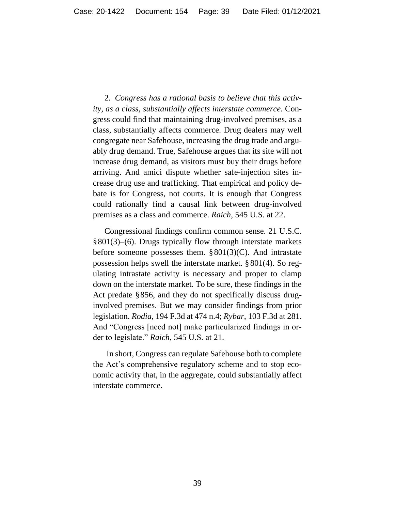2. *Congress has a rational basis to believe that this activity, as a class, substantially affects interstate commerce*. Congress could find that maintaining drug-involved premises, as a class, substantially affects commerce. Drug dealers may well congregate near Safehouse, increasing the drug trade and arguably drug demand. True, Safehouse argues that its site will not increase drug demand, as visitors must buy their drugs before arriving. And amici dispute whether safe-injection sites increase drug use and trafficking. That empirical and policy debate is for Congress, not courts. It is enough that Congress could rationally find a causal link between drug-involved premises as a class and commerce. *Raich*, 545 U.S. at 22.

Congressional findings confirm common sense. 21 U.S.C. §801(3)–(6). Drugs typically flow through interstate markets before someone possesses them.  $\S 801(3)(C)$ . And intrastate possession helps swell the interstate market. § 801(4). So regulating intrastate activity is necessary and proper to clamp down on the interstate market. To be sure, these findings in the Act predate §856, and they do not specifically discuss druginvolved premises. But we may consider findings from prior legislation. *Rodia*, 194 F.3d at 474 n.4; *Rybar*, 103 F.3d at 281. And "Congress [need not] make particularized findings in order to legislate." *Raich*, 545 U.S. at 21.

In short, Congress can regulate Safehouse both to complete the Act's comprehensive regulatory scheme and to stop economic activity that, in the aggregate, could substantially affect interstate commerce.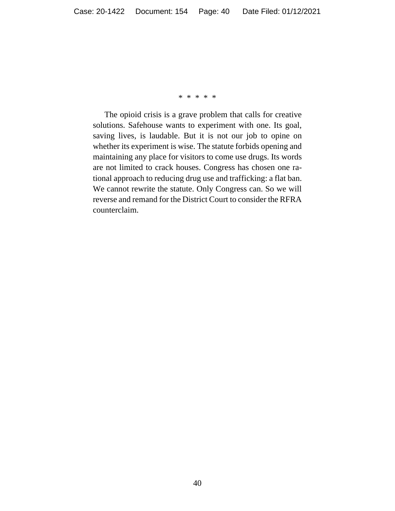#### \* \* \* \* \*

The opioid crisis is a grave problem that calls for creative solutions. Safehouse wants to experiment with one. Its goal, saving lives, is laudable. But it is not our job to opine on whether its experiment is wise. The statute forbids opening and maintaining any place for visitors to come use drugs. Its words are not limited to crack houses. Congress has chosen one rational approach to reducing drug use and trafficking: a flat ban. We cannot rewrite the statute. Only Congress can. So we will reverse and remand for the District Court to consider the RFRA counterclaim.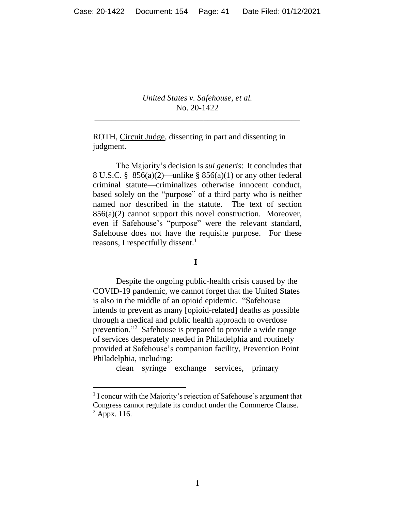*United States v. Safehouse, et al.* No. 20-1422

\_\_\_\_\_\_\_\_\_\_\_\_\_\_\_\_\_\_\_\_\_\_\_\_\_\_\_\_\_\_\_\_\_\_\_\_\_\_\_\_\_\_\_\_\_\_\_\_\_

ROTH, Circuit Judge, dissenting in part and dissenting in judgment.

The Majority's decision is *sui generis*: It concludes that 8 U.S.C. § 856(a)(2)—unlike § 856(a)(1) or any other federal criminal statute—criminalizes otherwise innocent conduct, based solely on the "purpose" of a third party who is neither named nor described in the statute. The text of section 856(a)(2) cannot support this novel construction. Moreover, even if Safehouse's "purpose" were the relevant standard, Safehouse does not have the requisite purpose. For these reasons, I respectfully dissent.<sup>1</sup>

## **I**

Despite the ongoing public-health crisis caused by the COVID-19 pandemic, we cannot forget that the United States is also in the middle of an opioid epidemic. "Safehouse intends to prevent as many [opioid-related] deaths as possible through a medical and public health approach to overdose prevention."<sup>2</sup> Safehouse is prepared to provide a wide range of services desperately needed in Philadelphia and routinely provided at Safehouse's companion facility, Prevention Point Philadelphia, including:

clean syringe exchange services, primary

 $<sup>1</sup>$  I concur with the Majority's rejection of Safehouse's argument that</sup> Congress cannot regulate its conduct under the Commerce Clause.  $^{2}$  Appx. 116.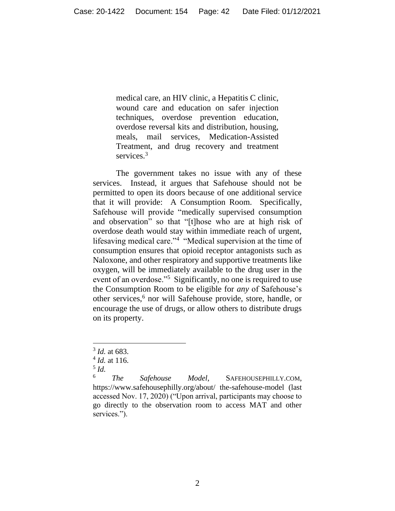medical care, an HIV clinic, a Hepatitis C clinic, wound care and education on safer injection techniques, overdose prevention education, overdose reversal kits and distribution, housing, meals, mail services, Medication-Assisted Treatment, and drug recovery and treatment services.<sup>3</sup>

The government takes no issue with any of these services. Instead, it argues that Safehouse should not be permitted to open its doors because of one additional service that it will provide: A Consumption Room. Specifically, Safehouse will provide "medically supervised consumption and observation" so that "[t]hose who are at high risk of overdose death would stay within immediate reach of urgent, lifesaving medical care."<sup>4</sup> "Medical supervision at the time of consumption ensures that opioid receptor antagonists such as Naloxone, and other respiratory and supportive treatments like oxygen, will be immediately available to the drug user in the event of an overdose."<sup>5</sup> Significantly, no one is required to use the Consumption Room to be eligible for *any* of Safehouse's other services,<sup>6</sup> nor will Safehouse provide, store, handle, or encourage the use of drugs, or allow others to distribute drugs on its property.

<sup>3</sup> *Id.* at 683.

<sup>4</sup> *Id.* at 116.

<sup>5</sup> *Id.*

<sup>6</sup> *The Safehouse Model*, SAFEHOUSEPHILLY.COM, https://www.safehousephilly.org/about/ the-safehouse-model (last accessed Nov. 17, 2020) ("Upon arrival, participants may choose to go directly to the observation room to access MAT and other services.").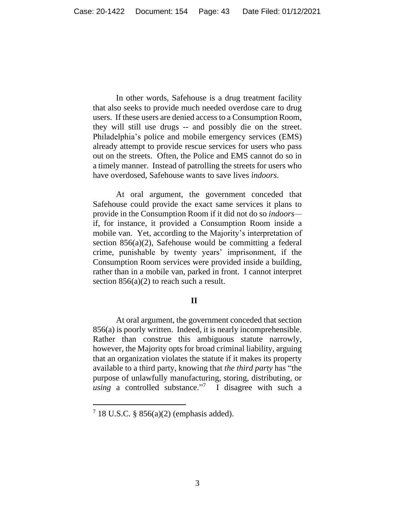In other words, Safehouse is a drug treatment facility that also seeks to provide much needed overdose care to drug users. If these users are denied access to a Consumption Room, they will still use drugs -- and possibly die on the street. Philadelphia's police and mobile emergency services (EMS) already attempt to provide rescue services for users who pass out on the streets. Often, the Police and EMS cannot do so in a timely manner. Instead of patrolling the streets for users who have overdosed, Safehouse wants to save lives *indoors*.

At oral argument, the government conceded that Safehouse could provide the exact same services it plans to provide in the Consumption Room if it did not do so *indoors* if, for instance, it provided a Consumption Room inside a mobile van. Yet, according to the Majority's interpretation of section 856(a)(2), Safehouse would be committing a federal crime, punishable by twenty years' imprisonment, if the Consumption Room services were provided inside a building, rather than in a mobile van, parked in front. I cannot interpret section  $856(a)(2)$  to reach such a result.

## **II**

At oral argument, the government conceded that section 856(a) is poorly written. Indeed, it is nearly incomprehensible. Rather than construe this ambiguous statute narrowly, however, the Majority opts for broad criminal liability, arguing that an organization violates the statute if it makes its property available to a third party, knowing that *the third party* has "the purpose of unlawfully manufacturing, storing, distributing, or *using* a controlled substance." 7 I disagree with such a

 $718$  U.S.C. § 856(a)(2) (emphasis added).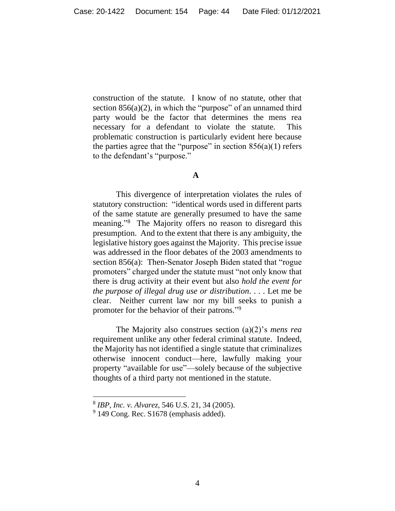construction of the statute. I know of no statute, other that section  $856(a)(2)$ , in which the "purpose" of an unnamed third party would be the factor that determines the mens rea necessary for a defendant to violate the statute. This problematic construction is particularly evident here because the parties agree that the "purpose" in section  $856(a)(1)$  refers to the defendant's "purpose."

## **A**

This divergence of interpretation violates the rules of statutory construction: "identical words used in different parts of the same statute are generally presumed to have the same meaning." 8 The Majority offers no reason to disregard this presumption. And to the extent that there is any ambiguity, the legislative history goes against the Majority. This precise issue was addressed in the floor debates of the 2003 amendments to section 856(a): Then-Senator Joseph Biden stated that "rogue promoters" charged under the statute must "not only know that there is drug activity at their event but also *hold the event for the purpose of illegal drug use or distribution*. . . . Let me be clear. Neither current law nor my bill seeks to punish a promoter for the behavior of their patrons."<sup>9</sup>

The Majority also construes section (a)(2)'s *mens rea* requirement unlike any other federal criminal statute. Indeed, the Majority has not identified a single statute that criminalizes otherwise innocent conduct—here, lawfully making your property "available for use"—solely because of the subjective thoughts of a third party not mentioned in the statute.

<sup>8</sup> *IBP, Inc. v. Alvarez*, 546 U.S. 21, 34 (2005).

<sup>&</sup>lt;sup>9</sup> 149 Cong. Rec. S1678 (emphasis added).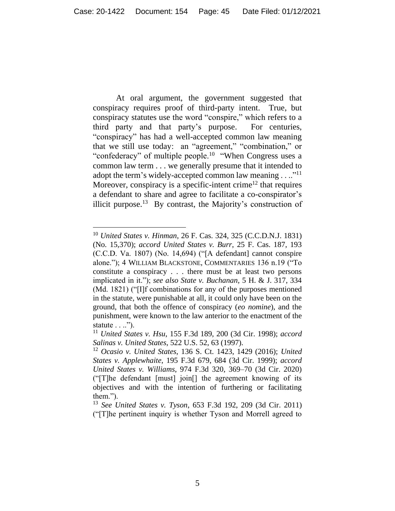At oral argument, the government suggested that conspiracy requires proof of third-party intent. True, but conspiracy statutes use the word "conspire," which refers to a third party and that party's purpose. For centuries, "conspiracy" has had a well-accepted common law meaning that we still use today: an "agreement," "combination," or "confederacy" of multiple people.<sup>10</sup> "When Congress uses a common law term . . . we generally presume that it intended to adopt the term's widely-accepted common law meaning  $\dots$ ."<sup>11</sup> Moreover, conspiracy is a specific-intent crime<sup>12</sup> that requires a defendant to share and agree to facilitate a co-conspirator's illicit purpose.<sup>13</sup> By contrast, the Majority's construction of

<sup>10</sup> *United States v. Hinman*, 26 F. Cas. 324, 325 (C.C.D.N.J. 1831) (No. 15,370); *accord United States v. Burr*, 25 F. Cas. 187, 193 (C.C.D. Va. 1807) (No. 14,694) ("[A defendant] cannot conspire alone."); 4 WILLIAM BLACKSTONE, COMMENTARIES 136 n.19 ("To constitute a conspiracy . . . there must be at least two persons implicated in it."); *see also State v. Buchanan*, 5 H. & J. 317, 334 (Md. 1821) ("[I]f combinations for any of the purposes mentioned in the statute, were punishable at all, it could only have been on the ground, that both the offence of conspiracy (*eo nomine*), and the punishment, were known to the law anterior to the enactment of the statute . . ..").

<sup>11</sup> *United States v. Hsu*, 155 F.3d 189, 200 (3d Cir. 1998); *accord Salinas v. United States*, 522 U.S. 52, 63 (1997).

<sup>12</sup> *Ocasio v. United States*, 136 S. Ct. 1423, 1429 (2016); *United States v. Applewhaite*, 195 F.3d 679, 684 (3d Cir. 1999); *accord United States v. Williams*, 974 F.3d 320, 369–70 (3d Cir. 2020) ("[T]he defendant [must] join[] the agreement knowing of its objectives and with the intention of furthering or facilitating them.").

<sup>13</sup> *See United States v. Tyson*, 653 F.3d 192, 209 (3d Cir. 2011) ("[T]he pertinent inquiry is whether Tyson and Morrell agreed to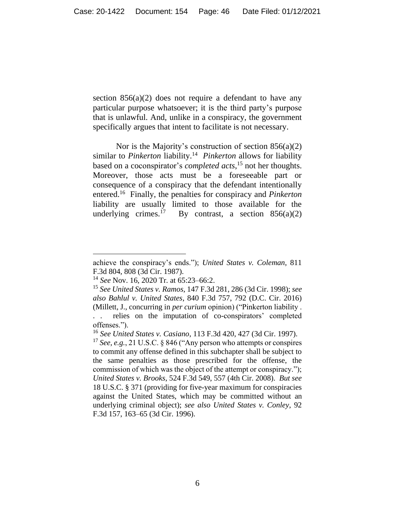section  $856(a)(2)$  does not require a defendant to have any particular purpose whatsoever; it is the third party's purpose that is unlawful. And, unlike in a conspiracy, the government specifically argues that intent to facilitate is not necessary.

Nor is the Majority's construction of section  $856(a)(2)$ similar to *Pinkerton* liability.<sup>14</sup> Pinkerton allows for liability based on a coconspirator's *completed acts*, <sup>15</sup> not her thoughts. Moreover, those acts must be a foreseeable part or consequence of a conspiracy that the defendant intentionally entered.<sup>16</sup> Finally, the penalties for conspiracy and *Pinkerton* liability are usually limited to those available for the underlying crimes. $17$ By contrast, a section  $856(a)(2)$ 

achieve the conspiracy's ends."); *United States v. Coleman*, 811 F.3d 804, 808 (3d Cir. 1987).

<sup>14</sup> *See* Nov. 16, 2020 Tr. at 65:23–66:2.

<sup>15</sup> *See United States v. Ramos*, 147 F.3d 281, 286 (3d Cir. 1998); *see also Bahlul v. United States*, 840 F.3d 757, 792 (D.C. Cir. 2016) (Millett, J., concurring in *per curium* opinion) ("Pinkerton liability .

<sup>. .</sup> relies on the imputation of co-conspirators' completed offenses.").

<sup>16</sup> *See United States v. Casiano*, 113 F.3d 420, 427 (3d Cir. 1997).

<sup>17</sup> *See, e.g.*, 21 U.S.C. § 846 ("Any person who attempts or conspires to commit any offense defined in this subchapter shall be subject to the same penalties as those prescribed for the offense, the commission of which was the object of the attempt or conspiracy."); *United States v. Brooks*, 524 F.3d 549, 557 (4th Cir. 2008). *But see*  18 U.S.C. § 371 (providing for five-year maximum for conspiracies against the United States, which may be committed without an underlying criminal object); *see also United States v. Conley*, 92 F.3d 157, 163–65 (3d Cir. 1996).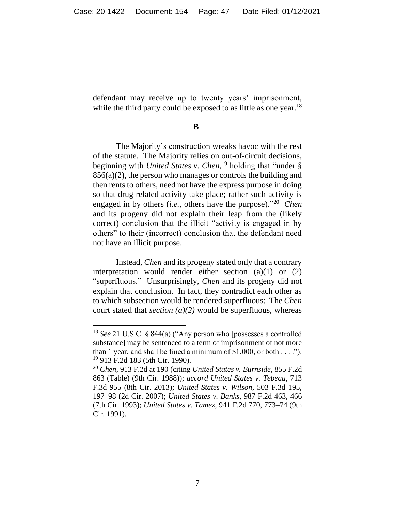defendant may receive up to twenty years' imprisonment, while the third party could be exposed to as little as one year.<sup>18</sup>

**B**

The Majority's construction wreaks havoc with the rest of the statute. The Majority relies on out-of-circuit decisions, beginning with *United States v. Chen*, <sup>19</sup> holding that "under § 856(a)(2), the person who manages or controls the building and then rents to others, need not have the express purpose in doing so that drug related activity take place; rather such activity is engaged in by others (*i.e.*, others have the purpose)."<sup>20</sup> *Chen* and its progeny did not explain their leap from the (likely correct) conclusion that the illicit "activity is engaged in by others" to their (incorrect) conclusion that the defendant need not have an illicit purpose.

Instead, *Chen* and its progeny stated only that a contrary interpretation would render either section (a)(1) or (2) "superfluous." Unsurprisingly, *Chen* and its progeny did not explain that conclusion. In fact, they contradict each other as to which subsection would be rendered superfluous: The *Chen* court stated that *section (a)(2)* would be superfluous, whereas

<sup>18</sup> *See* 21 U.S.C. § 844(a) ("Any person who [possesses a controlled substance] may be sentenced to a term of imprisonment of not more than 1 year, and shall be fined a minimum of  $$1,000$ , or both . . . ."). <sup>19</sup> 913 F.2d 183 (5th Cir. 1990).

<sup>20</sup> *Chen*, 913 F.2d at 190 (citing *United States v. Burnside*, 855 F.2d 863 (Table) (9th Cir. 1988)); *accord United States v. Tebeau*, 713 F.3d 955 (8th Cir. 2013); *United States v. Wilson*, 503 F.3d 195, 197–98 (2d Cir. 2007); *United States v. Banks*, 987 F.2d 463, 466 (7th Cir. 1993); *United States v. Tamez*, 941 F.2d 770, 773–74 (9th Cir. 1991).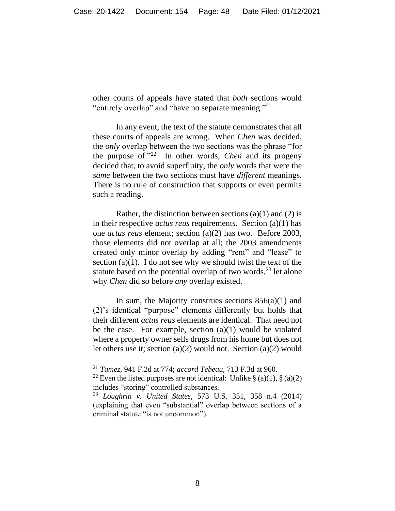other courts of appeals have stated that *both* sections would "entirely overlap" and "have no separate meaning."<sup>21</sup>

In any event, the text of the statute demonstrates that all these courts of appeals are wrong. When *Chen* was decided, the *only* overlap between the two sections was the phrase "for the purpose of."<sup>22</sup> In other words, *Chen* and its progeny decided that, to avoid superfluity, the *only* words that were the *same* between the two sections must have *different* meanings. There is no rule of construction that supports or even permits such a reading.

Rather, the distinction between sections (a)(1) and (2) is in their respective *actus reus* requirements. Section (a)(1) has one *actus reus* element; section (a)(2) has two. Before 2003, those elements did not overlap at all; the 2003 amendments created only minor overlap by adding "rent" and "lease" to section  $(a)(1)$ . I do not see why we should twist the text of the statute based on the potential overlap of two words,  $2<sup>3</sup>$  let alone why *Chen* did so before *any* overlap existed.

In sum, the Majority construes sections  $856(a)(1)$  and (2)'s identical "purpose" elements differently but holds that their different *actus reus* elements are identical. That need not be the case. For example, section  $(a)(1)$  would be violated where a property owner sells drugs from his home but does not let others use it; section (a)(2) would not. Section (a)(2) would

<sup>21</sup> *Tamez*, 941 F.2d at 774; *accord Tebeau*, 713 F.3d at 960.

<sup>&</sup>lt;sup>22</sup> Even the listed purposes are not identical: Unlike  $\S$  (a)(1),  $\S$  (a)(2) includes "storing" controlled substances.

<sup>23</sup> *Loughrin v. United States*, 573 U.S. 351, 358 n.4 (2014) (explaining that even "substantial" overlap between sections of a criminal statute "is not uncommon").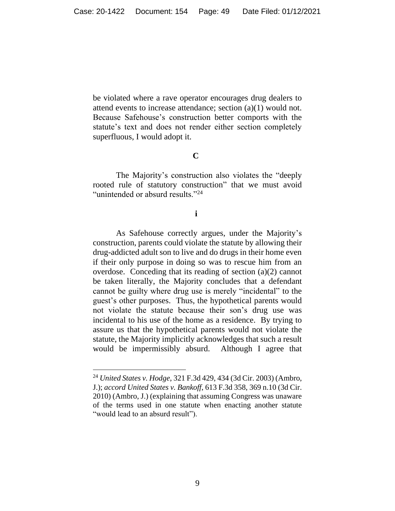be violated where a rave operator encourages drug dealers to attend events to increase attendance; section (a)(1) would not. Because Safehouse's construction better comports with the statute's text and does not render either section completely superfluous, I would adopt it.

### **C**

The Majority's construction also violates the "deeply rooted rule of statutory construction" that we must avoid "unintended or absurd results."<sup>24</sup>

## **i**

As Safehouse correctly argues, under the Majority's construction, parents could violate the statute by allowing their drug-addicted adult son to live and do drugs in their home even if their only purpose in doing so was to rescue him from an overdose. Conceding that its reading of section (a)(2) cannot be taken literally, the Majority concludes that a defendant cannot be guilty where drug use is merely "incidental" to the guest's other purposes. Thus, the hypothetical parents would not violate the statute because their son's drug use was incidental to his use of the home as a residence. By trying to assure us that the hypothetical parents would not violate the statute, the Majority implicitly acknowledges that such a result would be impermissibly absurd. Although I agree that

<sup>24</sup> *United States v. Hodge*, 321 F.3d 429, 434 (3d Cir. 2003) (Ambro, J.); *accord United States v. Bankoff*, 613 F.3d 358, 369 n.10 (3d Cir. 2010) (Ambro, J.) (explaining that assuming Congress was unaware of the terms used in one statute when enacting another statute "would lead to an absurd result").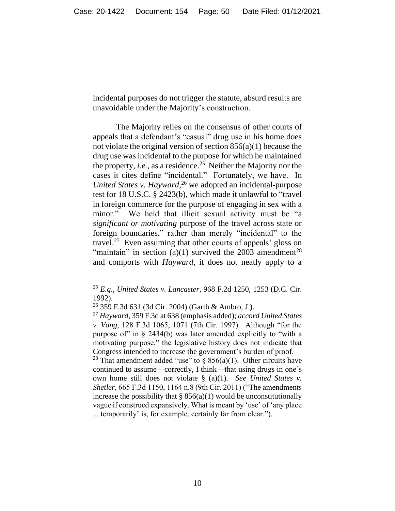incidental purposes do not trigger the statute, absurd results are unavoidable under the Majority's construction.

The Majority relies on the consensus of other courts of appeals that a defendant's "casual" drug use in his home does not violate the original version of section 856(a)(1) because the drug use was incidental to the purpose for which he maintained the property, *i.e.*, as a residence.<sup>25</sup> Neither the Majority nor the cases it cites define "incidental." Fortunately, we have. In *United States v. Hayward*, <sup>26</sup> we adopted an incidental-purpose test for 18 U.S.C. § 2423(b), which made it unlawful to "travel in foreign commerce for the purpose of engaging in sex with a minor." We held that illicit sexual activity must be "a *significant or motivating* purpose of the travel across state or foreign boundaries," rather than merely "incidental" to the travel.<sup>27</sup> Even assuming that other courts of appeals' gloss on "maintain" in section (a)(1) survived the  $2003$  amendment<sup>28</sup> and comports with *Hayward*, it does not neatly apply to a

<sup>25</sup> *E.g.*, *United States v. Lancaster*, 968 F.2d 1250, 1253 (D.C. Cir. 1992).

 $26$  359 F.3d 631 (3d Cir. 2004) (Garth & Ambro, J.).

<sup>27</sup> *Hayward*, 359 F.3d at 638 (emphasis added); *accord United States v. Vang*, 128 F.3d 1065, 1071 (7th Cir. 1997). Although "for the purpose of in  $\S$  2434(b) was later amended explicitly to "with a motivating purpose," the legislative history does not indicate that Congress intended to increase the government's burden of proof.

<sup>&</sup>lt;sup>28</sup> That amendment added "use" to § 856(a)(1). Other circuits have continued to assume—correctly, I think—that using drugs in one's own home still does not violate § (a)(1). *See United States v. Shetler*, 665 F.3d 1150, 1164 n.8 (9th Cir. 2011) ("The amendments increase the possibility that  $\S$  856(a)(1) would be unconstitutionally vague if construed expansively. What is meant by 'use' of 'any place ... temporarily' is, for example, certainly far from clear.").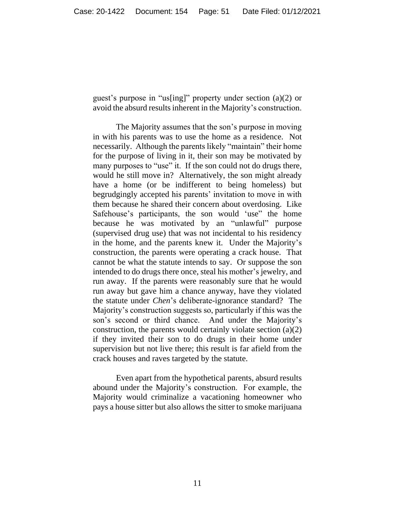guest's purpose in "us[ing]" property under section (a)(2) or avoid the absurd results inherent in the Majority's construction.

The Majority assumes that the son's purpose in moving in with his parents was to use the home as a residence. Not necessarily. Although the parents likely "maintain" their home for the purpose of living in it, their son may be motivated by many purposes to "use" it. If the son could not do drugs there, would he still move in? Alternatively, the son might already have a home (or be indifferent to being homeless) but begrudgingly accepted his parents' invitation to move in with them because he shared their concern about overdosing. Like Safehouse's participants, the son would 'use" the home because he was motivated by an "unlawful" purpose (supervised drug use) that was not incidental to his residency in the home, and the parents knew it. Under the Majority's construction, the parents were operating a crack house. That cannot be what the statute intends to say. Or suppose the son intended to do drugs there once, steal his mother's jewelry, and run away. If the parents were reasonably sure that he would run away but gave him a chance anyway, have they violated the statute under *Chen*'s deliberate-ignorance standard? The Majority's construction suggests so, particularly if this was the son's second or third chance. And under the Majority's construction, the parents would certainly violate section (a)(2) if they invited their son to do drugs in their home under supervision but not live there; this result is far afield from the crack houses and raves targeted by the statute.

Even apart from the hypothetical parents, absurd results abound under the Majority's construction. For example, the Majority would criminalize a vacationing homeowner who pays a house sitter but also allows the sitter to smoke marijuana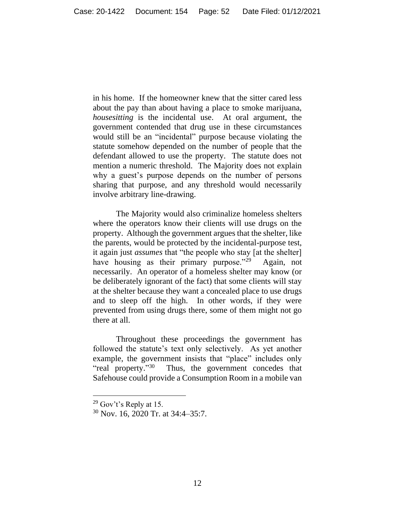in his home. If the homeowner knew that the sitter cared less about the pay than about having a place to smoke marijuana, *housesitting* is the incidental use. At oral argument, the government contended that drug use in these circumstances would still be an "incidental" purpose because violating the statute somehow depended on the number of people that the defendant allowed to use the property. The statute does not mention a numeric threshold. The Majority does not explain why a guest's purpose depends on the number of persons sharing that purpose, and any threshold would necessarily involve arbitrary line-drawing.

The Majority would also criminalize homeless shelters where the operators know their clients will use drugs on the property. Although the government argues that the shelter, like the parents, would be protected by the incidental-purpose test, it again just *assumes* that "the people who stay [at the shelter] have housing as their primary purpose." $^{29}$  Again, not necessarily. An operator of a homeless shelter may know (or be deliberately ignorant of the fact) that some clients will stay at the shelter because they want a concealed place to use drugs and to sleep off the high. In other words, if they were prevented from using drugs there, some of them might not go there at all.

Throughout these proceedings the government has followed the statute's text only selectively. As yet another example, the government insists that "place" includes only "real property."<sup>30</sup> Thus, the government concedes that Safehouse could provide a Consumption Room in a mobile van

<sup>29</sup> Gov't's Reply at 15.

<sup>30</sup> Nov. 16, 2020 Tr. at 34:4–35:7.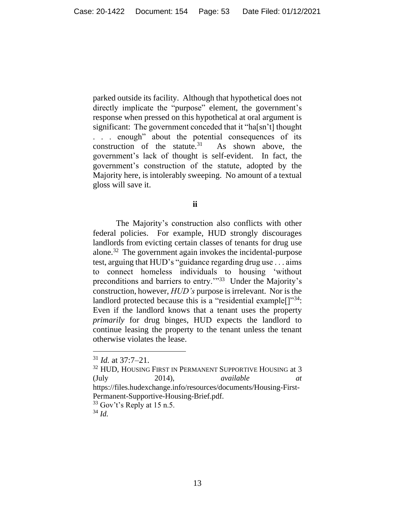parked outside its facility. Although that hypothetical does not directly implicate the "purpose" element, the government's response when pressed on this hypothetical at oral argument is significant: The government conceded that it "ha[sn't] thought . . . enough" about the potential consequences of its construction of the statute. $31$  As shown above, the government's lack of thought is self-evident. In fact, the government's construction of the statute, adopted by the Majority here, is intolerably sweeping. No amount of a textual gloss will save it.

**ii**

The Majority's construction also conflicts with other federal policies. For example, HUD strongly discourages landlords from evicting certain classes of tenants for drug use alone.<sup>32</sup> The government again invokes the incidental-purpose test, arguing that HUD's "guidance regarding drug use . . . aims to connect homeless individuals to housing 'without preconditions and barriers to entry."<sup>33</sup> Under the Majority's construction, however, *HUD's* purpose is irrelevant. Nor is the landlord protected because this is a "residential example<sup>[]"34</sup>: Even if the landlord knows that a tenant uses the property *primarily* for drug binges, HUD expects the landlord to continue leasing the property to the tenant unless the tenant otherwise violates the lease.

<sup>31</sup> *Id.* at 37:7–21.

 $^{32}$  HUD, HOUSING FIRST IN PERMANENT SUPPORTIVE HOUSING at  $3$ (July 2014), *available* https://files.hudexchange.info/resources/documents/Housing-First-Permanent-Supportive-Housing-Brief.pdf.  $33$  Gov't's Reply at 15 n.5.

<sup>34</sup> *Id.*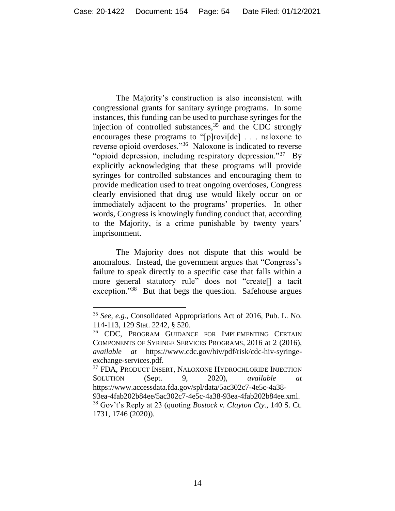The Majority's construction is also inconsistent with congressional grants for sanitary syringe programs. In some instances, this funding can be used to purchase syringes for the injection of controlled substances,  $35$  and the CDC strongly encourages these programs to "[p]rovi[de] . . . naloxone to reverse opioid overdoses."<sup>36</sup> Naloxone is indicated to reverse "opioid depression, including respiratory depression."<sup>37</sup> By explicitly acknowledging that these programs will provide syringes for controlled substances and encouraging them to provide medication used to treat ongoing overdoses, Congress clearly envisioned that drug use would likely occur on or immediately adjacent to the programs' properties. In other words, Congress is knowingly funding conduct that, according to the Majority, is a crime punishable by twenty years' imprisonment.

The Majority does not dispute that this would be anomalous. Instead, the government argues that "Congress's failure to speak directly to a specific case that falls within a more general statutory rule" does not "create[] a tacit exception."<sup>38</sup> But that begs the question. Safehouse argues

<sup>35</sup> *See, e.g.*, Consolidated Appropriations Act of 2016, Pub. L. No. 114-113, 129 Stat. 2242, § 520.

<sup>&</sup>lt;sup>36</sup> CDC, PROGRAM GUIDANCE FOR IMPLEMENTING CERTAIN COMPONENTS OF SYRINGE SERVICES PROGRAMS, 2016 at 2 (2016), *available at* https://www.cdc.gov/hiv/pdf/risk/cdc-hiv-syringeexchange-services.pdf.

<sup>37</sup> FDA, PRODUCT INSERT, NALOXONE HYDROCHLORIDE INJECTION SOLUTION (Sept. 9, 2020), *available at* https://www.accessdata.fda.gov/spl/data/5ac302c7-4e5c-4a38- 93ea-4fab202b84ee/5ac302c7-4e5c-4a38-93ea-4fab202b84ee.xml. <sup>38</sup> Gov't's Reply at 23 (quoting *Bostock v. Clayton Cty.*, 140 S. Ct. 1731, 1746 (2020)).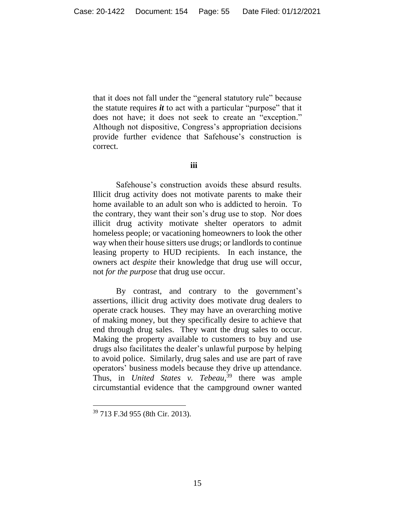that it does not fall under the "general statutory rule" because the statute requires *it* to act with a particular "purpose" that it does not have; it does not seek to create an "exception." Although not dispositive, Congress's appropriation decisions provide further evidence that Safehouse's construction is correct.

#### **iii**

Safehouse's construction avoids these absurd results. Illicit drug activity does not motivate parents to make their home available to an adult son who is addicted to heroin. To the contrary, they want their son's drug use to stop. Nor does illicit drug activity motivate shelter operators to admit homeless people; or vacationing homeowners to look the other way when their house sitters use drugs; or landlords to continue leasing property to HUD recipients. In each instance, the owners act *despite* their knowledge that drug use will occur, not *for the purpose* that drug use occur.

By contrast, and contrary to the government's assertions, illicit drug activity does motivate drug dealers to operate crack houses. They may have an overarching motive of making money, but they specifically desire to achieve that end through drug sales. They want the drug sales to occur. Making the property available to customers to buy and use drugs also facilitates the dealer's unlawful purpose by helping to avoid police. Similarly, drug sales and use are part of rave operators' business models because they drive up attendance. Thus, in *United States v. Tebeau*, <sup>39</sup> there was ample circumstantial evidence that the campground owner wanted

<sup>39</sup> 713 F.3d 955 (8th Cir. 2013).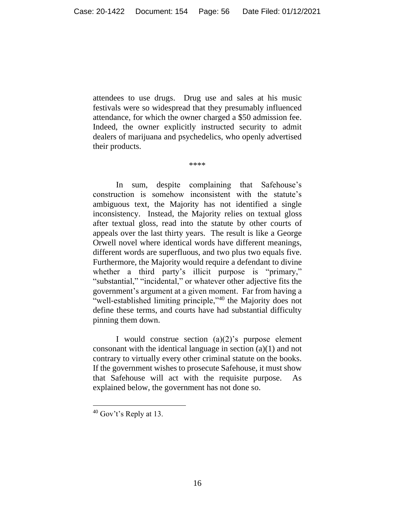attendees to use drugs. Drug use and sales at his music festivals were so widespread that they presumably influenced attendance, for which the owner charged a \$50 admission fee. Indeed, the owner explicitly instructed security to admit dealers of marijuana and psychedelics, who openly advertised their products.

\*\*\*\*

In sum, despite complaining that Safehouse's construction is somehow inconsistent with the statute's ambiguous text, the Majority has not identified a single inconsistency. Instead, the Majority relies on textual gloss after textual gloss, read into the statute by other courts of appeals over the last thirty years. The result is like a George Orwell novel where identical words have different meanings, different words are superfluous, and two plus two equals five. Furthermore, the Majority would require a defendant to divine whether a third party's illicit purpose is "primary," "substantial," "incidental," or whatever other adjective fits the government's argument at a given moment. Far from having a "well-established limiting principle,"<sup>40</sup> the Majority does not define these terms, and courts have had substantial difficulty pinning them down.

I would construe section  $(a)(2)$ 's purpose element consonant with the identical language in section (a)(1) and not contrary to virtually every other criminal statute on the books. If the government wishes to prosecute Safehouse, it must show that Safehouse will act with the requisite purpose. As explained below, the government has not done so.

 $40$  Gov't's Reply at 13.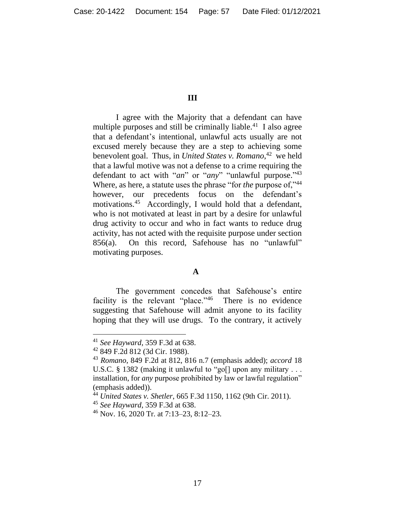### **III**

I agree with the Majority that a defendant can have multiple purposes and still be criminally liable.<sup>41</sup> I also agree that a defendant's intentional, unlawful acts usually are not excused merely because they are a step to achieving some benevolent goal. Thus, in *United States v. Romano*, <sup>42</sup> we held that a lawful motive was not a defense to a crime requiring the defendant to act with "*an*" or "*any*" "unlawful purpose." 43 Where, as here, a statute uses the phrase "for *the* purpose of,"<sup>44</sup> however, our precedents focus on the defendant's motivations. 45 Accordingly, I would hold that a defendant, who is not motivated at least in part by a desire for unlawful drug activity to occur and who in fact wants to reduce drug activity, has not acted with the requisite purpose under section 856(a). On this record, Safehouse has no "unlawful" motivating purposes.

### **A**

The government concedes that Safehouse's entire facility is the relevant "place."<sup>46</sup> There is no evidence suggesting that Safehouse will admit anyone to its facility hoping that they will use drugs. To the contrary, it actively

<sup>41</sup> *See Hayward*, 359 F.3d at 638.

<sup>42</sup> 849 F.2d 812 (3d Cir. 1988).

<sup>43</sup> *Romano*, 849 F.2d at 812, 816 n.7 (emphasis added); *accord* 18 U.S.C. § 1382 (making it unlawful to "go[] upon any military . . . installation, for *any* purpose prohibited by law or lawful regulation" (emphasis added)).

<sup>44</sup> *United States v. Shetler*, 665 F.3d 1150, 1162 (9th Cir. 2011).

<sup>45</sup> *See Hayward*, 359 F.3d at 638.

<sup>46</sup> Nov. 16, 2020 Tr. at 7:13–23, 8:12–23.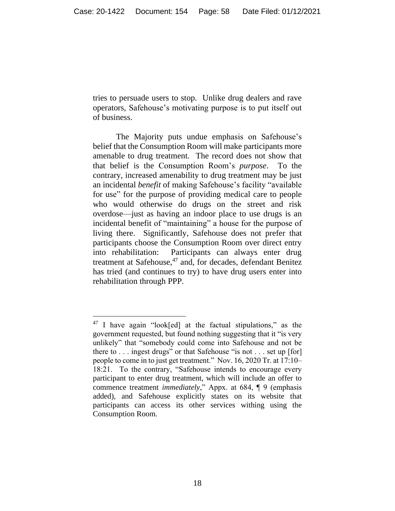tries to persuade users to stop. Unlike drug dealers and rave operators, Safehouse's motivating purpose is to put itself out of business.

The Majority puts undue emphasis on Safehouse's belief that the Consumption Room will make participants more amenable to drug treatment. The record does not show that that belief is the Consumption Room's *purpose*. To the contrary, increased amenability to drug treatment may be just an incidental *benefit* of making Safehouse's facility "available for use" for the purpose of providing medical care to people who would otherwise do drugs on the street and risk overdose—just as having an indoor place to use drugs is an incidental benefit of "maintaining" a house for the purpose of living there. Significantly, Safehouse does not prefer that participants choose the Consumption Room over direct entry into rehabilitation: Participants can always enter drug treatment at Safehouse,<sup>47</sup> and, for decades, defendant Benitez has tried (and continues to try) to have drug users enter into rehabilitation through PPP.

<sup>47</sup> I have again "look[ed] at the factual stipulations," as the government requested, but found nothing suggesting that it "is very unlikely" that "somebody could come into Safehouse and not be there to  $\ldots$  ingest drugs" or that Safehouse "is not  $\ldots$  set up [for] people to come in to just get treatment." Nov. 16, 2020 Tr. at 17:10– 18:21. To the contrary, "Safehouse intends to encourage every participant to enter drug treatment, which will include an offer to commence treatment *immediately*," Appx. at 684, ¶ 9 (emphasis added), and Safehouse explicitly states on its website that participants can access its other services withing using the Consumption Room.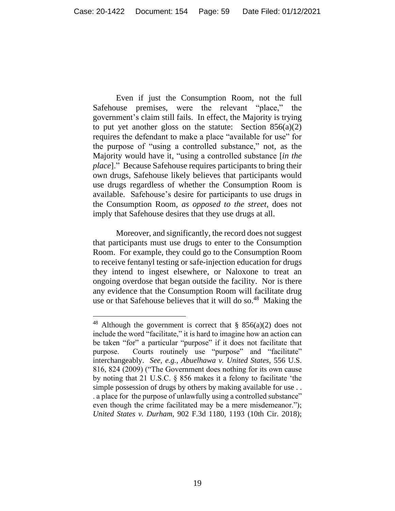Even if just the Consumption Room, not the full Safehouse premises, were the relevant "place," the government's claim still fails. In effect, the Majority is trying to put yet another gloss on the statute: Section  $856(a)(2)$ requires the defendant to make a place "available for use" for the purpose of "using a controlled substance," not, as the Majority would have it, "using a controlled substance [*in the place*]." Because Safehouse requires participants to bring their own drugs, Safehouse likely believes that participants would use drugs regardless of whether the Consumption Room is available. Safehouse's desire for participants to use drugs in the Consumption Room, *as opposed to the street*, does not imply that Safehouse desires that they use drugs at all.

Moreover, and significantly, the record does not suggest that participants must use drugs to enter to the Consumption Room. For example, they could go to the Consumption Room to receive fentanyl testing or safe-injection education for drugs they intend to ingest elsewhere, or Naloxone to treat an ongoing overdose that began outside the facility. Nor is there any evidence that the Consumption Room will facilitate drug use or that Safehouse believes that it will do so.<sup>48</sup> Making the

<sup>&</sup>lt;sup>48</sup> Although the government is correct that § 856(a)(2) does not include the word "facilitate," it is hard to imagine how an action can be taken "for" a particular "purpose" if it does not facilitate that purpose. Courts routinely use "purpose" and "facilitate" interchangeably. *See, e.g.*, *Abuelhawa v. United States*, 556 U.S. 816, 824 (2009) ("The Government does nothing for its own cause by noting that 21 U.S.C. § 856 makes it a felony to facilitate 'the simple possession of drugs by others by making available for use ... . a place for the purpose of unlawfully using a controlled substance" even though the crime facilitated may be a mere misdemeanor."); *United States v. Durham*, 902 F.3d 1180, 1193 (10th Cir. 2018);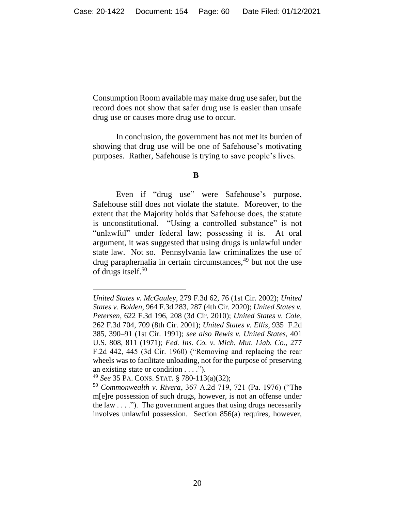Consumption Room available may make drug use safer, but the record does not show that safer drug use is easier than unsafe drug use or causes more drug use to occur.

In conclusion, the government has not met its burden of showing that drug use will be one of Safehouse's motivating purposes. Rather, Safehouse is trying to save people's lives.

## **B**

Even if "drug use" were Safehouse's purpose, Safehouse still does not violate the statute. Moreover, to the extent that the Majority holds that Safehouse does, the statute is unconstitutional. "Using a controlled substance" is not "unlawful" under federal law; possessing it is. At oral argument, it was suggested that using drugs is unlawful under state law. Not so. Pennsylvania law criminalizes the use of drug paraphernalia in certain circumstances,<sup>49</sup> but not the use of drugs itself. 50

*United States v. McGauley*, 279 F.3d 62, 76 (1st Cir. 2002); *United States v. Bolden*, 964 F.3d 283, 287 (4th Cir. 2020); *United States v. Petersen*, 622 F.3d 196, 208 (3d Cir. 2010); *United States v. Cole*, 262 F.3d 704, 709 (8th Cir. 2001); *United States v. Ellis*, 935 F.2d 385, 390–91 (1st Cir. 1991); *see also Rewis v. United States*, 401 U.S. 808, 811 (1971); *Fed. Ins. Co. v. Mich. Mut. Liab. Co.*, 277 F.2d 442, 445 (3d Cir. 1960) ("Removing and replacing the rear wheels was to facilitate unloading, not for the purpose of preserving an existing state or condition . . . .").

<sup>49</sup> *See* 35 PA. CONS. STAT. § 780-113(a)(32);

<sup>50</sup> *Commonwealth v. Rivera*, 367 A.2d 719, 721 (Pa. 1976) ("The m[e]re possession of such drugs, however, is not an offense under the law  $\dots$ "). The government argues that using drugs necessarily involves unlawful possession. Section 856(a) requires, however,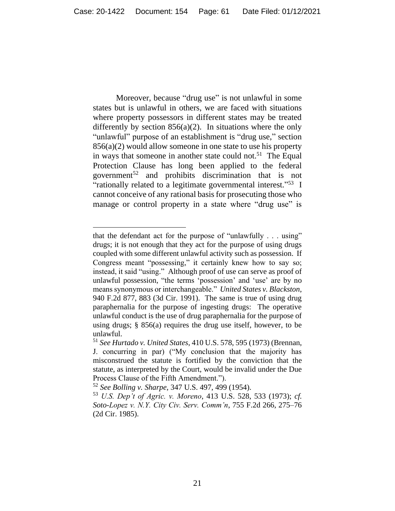Moreover, because "drug use" is not unlawful in some states but is unlawful in others, we are faced with situations where property possessors in different states may be treated differently by section  $856(a)(2)$ . In situations where the only "unlawful" purpose of an establishment is "drug use," section 856(a)(2) would allow someone in one state to use his property in ways that someone in another state could not.<sup>51</sup> The Equal Protection Clause has long been applied to the federal government<sup>52</sup> and prohibits discrimination that is not "rationally related to a legitimate governmental interest."<sup>53</sup> I cannot conceive of any rational basis for prosecuting those who manage or control property in a state where "drug use" is

<sup>52</sup> *See Bolling v. Sharpe*, 347 U.S. 497, 499 (1954).

that the defendant act for the purpose of "unlawfully . . . using" drugs; it is not enough that they act for the purpose of using drugs coupled with some different unlawful activity such as possession. If Congress meant "possessing," it certainly knew how to say so; instead, it said "using." Although proof of use can serve as proof of unlawful possession, "the terms 'possession' and 'use' are by no means synonymous or interchangeable." *United States v. Blackston*, 940 F.2d 877, 883 (3d Cir. 1991). The same is true of using drug paraphernalia for the purpose of ingesting drugs: The operative unlawful conduct is the use of drug paraphernalia for the purpose of using drugs;  $\S$  856(a) requires the drug use itself, however, to be unlawful.

<sup>51</sup> *See Hurtado v. United States*, 410 U.S. 578, 595 (1973) (Brennan, J. concurring in par) ("My conclusion that the majority has misconstrued the statute is fortified by the conviction that the statute, as interpreted by the Court, would be invalid under the Due Process Clause of the Fifth Amendment.").

<sup>53</sup> *U.S. Dep't of Agric. v. Moreno*, 413 U.S. 528, 533 (1973); *cf. Soto-Lopez v. N.Y. City Civ. Serv. Comm'n*, 755 F.2d 266, 275–76 (2d Cir. 1985).